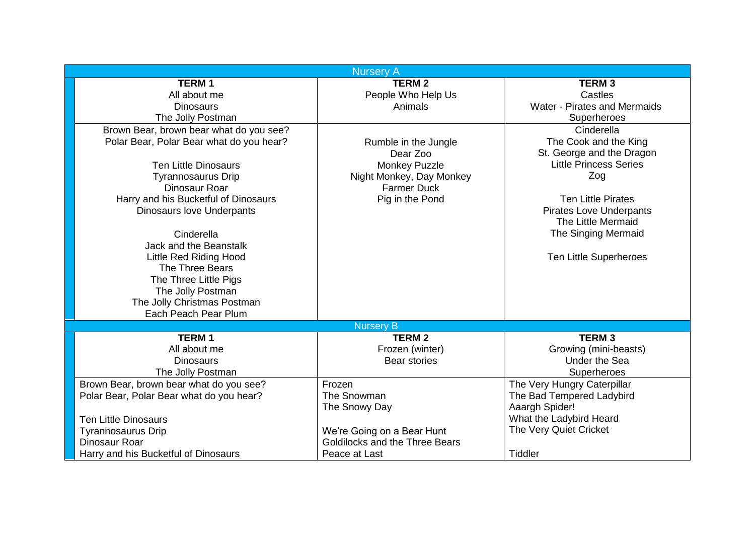|                                          | <b>Nursery A</b>               |                                |
|------------------------------------------|--------------------------------|--------------------------------|
| <b>TERM1</b>                             | <b>TERM 2</b>                  | <b>TERM3</b>                   |
| All about me                             | People Who Help Us             | Castles                        |
| <b>Dinosaurs</b>                         | Animals                        | Water - Pirates and Mermaids   |
| The Jolly Postman                        |                                | Superheroes                    |
| Brown Bear, brown bear what do you see?  |                                | Cinderella                     |
| Polar Bear, Polar Bear what do you hear? | Rumble in the Jungle           | The Cook and the King          |
|                                          | Dear Zoo                       | St. George and the Dragon      |
| <b>Ten Little Dinosaurs</b>              | <b>Monkey Puzzle</b>           | <b>Little Princess Series</b>  |
| Tyrannosaurus Drip                       | Night Monkey, Day Monkey       | Zog                            |
| Dinosaur Roar                            | <b>Farmer Duck</b>             |                                |
| Harry and his Bucketful of Dinosaurs     | Pig in the Pond                | <b>Ten Little Pirates</b>      |
| <b>Dinosaurs love Underpants</b>         |                                | <b>Pirates Love Underpants</b> |
|                                          |                                | The Little Mermaid             |
| Cinderella                               |                                | The Singing Mermaid            |
| Jack and the Beanstalk                   |                                |                                |
| <b>Little Red Riding Hood</b>            |                                | Ten Little Superheroes         |
| The Three Bears                          |                                |                                |
| The Three Little Pigs                    |                                |                                |
| The Jolly Postman                        |                                |                                |
| The Jolly Christmas Postman              |                                |                                |
| Each Peach Pear Plum                     |                                |                                |
|                                          | <b>Nursery B</b>               |                                |
| <b>TERM1</b>                             | <b>TERM 2</b>                  | <b>TERM3</b>                   |
| All about me                             | Frozen (winter)                | Growing (mini-beasts)          |
| <b>Dinosaurs</b>                         | <b>Bear stories</b>            | <b>Under the Sea</b>           |
| The Jolly Postman                        |                                | Superheroes                    |
| Brown Bear, brown bear what do you see?  | Frozen                         | The Very Hungry Caterpillar    |
| Polar Bear, Polar Bear what do you hear? | The Snowman                    | The Bad Tempered Ladybird      |
|                                          | The Snowy Day                  | Aaargh Spider!                 |
| <b>Ten Little Dinosaurs</b>              |                                | What the Ladybird Heard        |
| Tyrannosaurus Drip                       | We're Going on a Bear Hunt     | The Very Quiet Cricket         |
| Dinosaur Roar                            | Goldilocks and the Three Bears |                                |
| Harry and his Bucketful of Dinosaurs     | Peace at Last                  | <b>Tiddler</b>                 |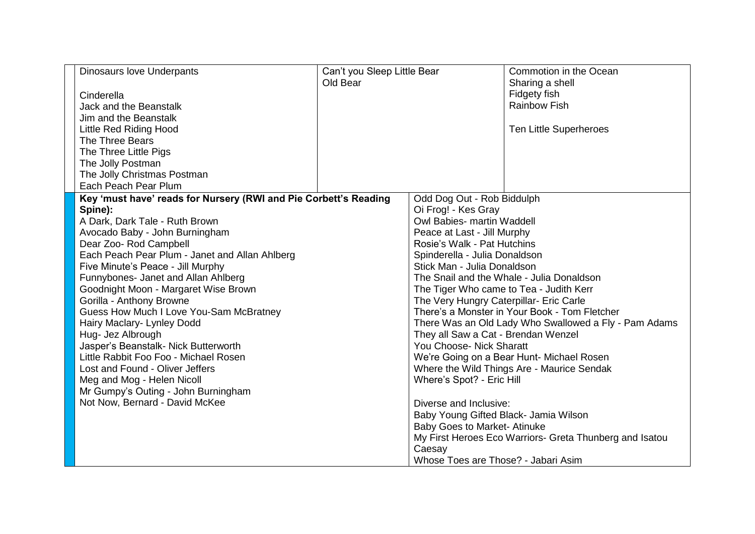| Dinosaurs love Underpants                                        | Can't you Sleep Little Bear<br>Old Bear |                                           | Commotion in the Ocean<br>Sharing a shell               |
|------------------------------------------------------------------|-----------------------------------------|-------------------------------------------|---------------------------------------------------------|
| Cinderella                                                       |                                         |                                           | Fidgety fish                                            |
| Jack and the Beanstalk                                           |                                         |                                           | <b>Rainbow Fish</b>                                     |
| Jim and the Beanstalk                                            |                                         |                                           |                                                         |
| Little Red Riding Hood                                           |                                         |                                           | Ten Little Superheroes                                  |
| The Three Bears                                                  |                                         |                                           |                                                         |
| The Three Little Pigs                                            |                                         |                                           |                                                         |
| The Jolly Postman                                                |                                         |                                           |                                                         |
| The Jolly Christmas Postman                                      |                                         |                                           |                                                         |
| Each Peach Pear Plum                                             |                                         |                                           |                                                         |
| Key 'must have' reads for Nursery (RWI and Pie Corbett's Reading |                                         | Odd Dog Out - Rob Biddulph                |                                                         |
| Spine):                                                          |                                         | Oi Frog! - Kes Gray                       |                                                         |
| A Dark, Dark Tale - Ruth Brown                                   |                                         | Owl Babies- martin Waddell                |                                                         |
| Avocado Baby - John Burningham                                   |                                         | Peace at Last - Jill Murphy               |                                                         |
| Dear Zoo- Rod Campbell                                           |                                         | Rosie's Walk - Pat Hutchins               |                                                         |
| Each Peach Pear Plum - Janet and Allan Ahlberg                   |                                         | Spinderella - Julia Donaldson             |                                                         |
| Five Minute's Peace - Jill Murphy                                | Stick Man - Julia Donaldson             |                                           |                                                         |
| Funnybones- Janet and Allan Ahlberg                              |                                         | The Snail and the Whale - Julia Donaldson |                                                         |
| Goodnight Moon - Margaret Wise Brown                             |                                         |                                           | The Tiger Who came to Tea - Judith Kerr                 |
| Gorilla - Anthony Browne                                         |                                         | The Very Hungry Caterpillar- Eric Carle   |                                                         |
| Guess How Much I Love You-Sam McBratney                          |                                         |                                           | There's a Monster in Your Book - Tom Fletcher           |
| Hairy Maclary- Lynley Dodd                                       |                                         |                                           | There Was an Old Lady Who Swallowed a Fly - Pam Adams   |
| Hug- Jez Albrough                                                |                                         | They all Saw a Cat - Brendan Wenzel       |                                                         |
| Jasper's Beanstalk- Nick Butterworth                             |                                         | You Choose- Nick Sharatt                  |                                                         |
| Little Rabbit Foo Foo - Michael Rosen                            |                                         |                                           | We're Going on a Bear Hunt- Michael Rosen               |
| Lost and Found - Oliver Jeffers                                  |                                         |                                           | Where the Wild Things Are - Maurice Sendak              |
| Meg and Mog - Helen Nicoll                                       |                                         | Where's Spot? - Eric Hill                 |                                                         |
| Mr Gumpy's Outing - John Burningham                              |                                         |                                           |                                                         |
| Not Now, Bernard - David McKee                                   |                                         | Diverse and Inclusive:                    |                                                         |
|                                                                  |                                         | Baby Young Gifted Black- Jamia Wilson     |                                                         |
|                                                                  |                                         | <b>Baby Goes to Market-Atinuke</b>        |                                                         |
|                                                                  |                                         |                                           | My First Heroes Eco Warriors- Greta Thunberg and Isatou |
|                                                                  |                                         | Caesay                                    |                                                         |
|                                                                  |                                         | Whose Toes are Those? - Jabari Asim       |                                                         |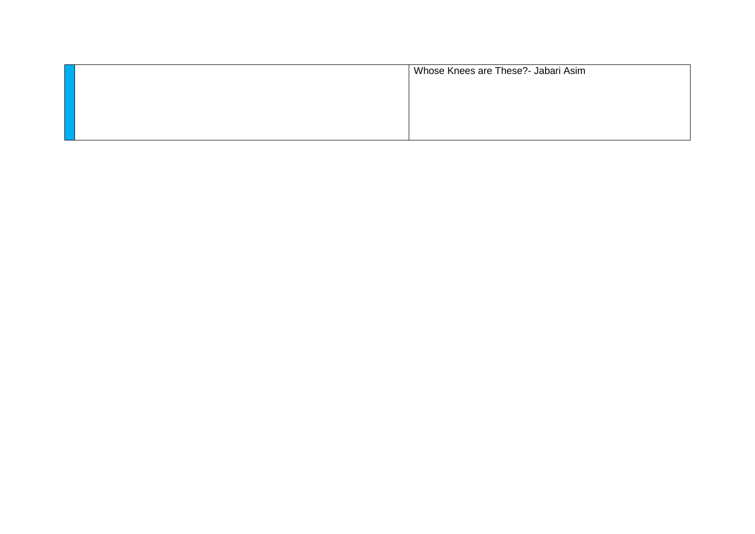| Whose Knees are These?- Jabari Asim |
|-------------------------------------|
|                                     |
|                                     |
|                                     |
|                                     |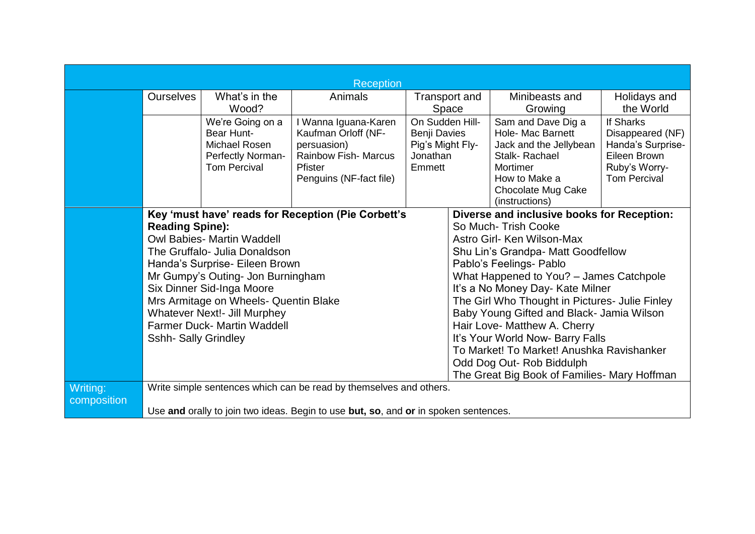| <b>Reception</b> |                                                                                                                                                                                      |                                                 |                                                                                     |                              |                                           |                                                |                                   |
|------------------|--------------------------------------------------------------------------------------------------------------------------------------------------------------------------------------|-------------------------------------------------|-------------------------------------------------------------------------------------|------------------------------|-------------------------------------------|------------------------------------------------|-----------------------------------|
|                  | <b>Ourselves</b>                                                                                                                                                                     | What's in the                                   | Animals                                                                             |                              | Transport and                             | Minibeasts and                                 | Holidays and                      |
|                  | Wood?                                                                                                                                                                                |                                                 |                                                                                     | Space                        | Growing                                   | the World                                      |                                   |
|                  |                                                                                                                                                                                      | We're Going on a                                | I Wanna Iguana-Karen                                                                | On Sudden Hill-              |                                           | Sam and Dave Dig a                             | If Sharks                         |
|                  |                                                                                                                                                                                      | Bear Hunt-                                      | Kaufman Orloff (NF-                                                                 | Benji Davies                 |                                           | Hole- Mac Barnett                              | Disappeared (NF)                  |
|                  |                                                                                                                                                                                      | Michael Rosen                                   | persuasion)<br><b>Rainbow Fish- Marcus</b>                                          | Pig's Might Fly-<br>Jonathan |                                           | Jack and the Jellybean<br>Stalk-Rachael        | Handa's Surprise-<br>Eileen Brown |
|                  |                                                                                                                                                                                      | <b>Perfectly Norman-</b><br><b>Tom Percival</b> | <b>Pfister</b>                                                                      | Emmett                       |                                           | Mortimer                                       | Ruby's Worry-                     |
|                  |                                                                                                                                                                                      |                                                 | Penguins (NF-fact file)                                                             |                              |                                           | How to Make a                                  | <b>Tom Percival</b>               |
|                  |                                                                                                                                                                                      |                                                 |                                                                                     |                              |                                           | Chocolate Mug Cake                             |                                   |
|                  |                                                                                                                                                                                      |                                                 |                                                                                     |                              |                                           | (instructions)                                 |                                   |
|                  | Key 'must have' reads for Reception (Pie Corbett's<br><b>Reading Spine):</b><br><b>Owl Babies- Martin Waddell</b><br>The Gruffalo- Julia Donaldson<br>Handa's Surprise- Eileen Brown |                                                 |                                                                                     |                              |                                           | Diverse and inclusive books for Reception:     |                                   |
|                  |                                                                                                                                                                                      |                                                 |                                                                                     |                              | So Much-Trish Cooke                       |                                                |                                   |
|                  |                                                                                                                                                                                      |                                                 |                                                                                     |                              |                                           | Astro Girl- Ken Wilson-Max                     |                                   |
|                  |                                                                                                                                                                                      |                                                 |                                                                                     |                              |                                           | Shu Lin's Grandpa- Matt Goodfellow             |                                   |
|                  |                                                                                                                                                                                      |                                                 |                                                                                     |                              |                                           | Pablo's Feelings- Pablo                        |                                   |
|                  | Mr Gumpy's Outing- Jon Burningham<br>What Happened to You? - James Catchpole<br>Six Dinner Sid-Inga Moore<br>It's a No Money Day- Kate Milner                                        |                                                 |                                                                                     |                              |                                           |                                                |                                   |
|                  |                                                                                                                                                                                      |                                                 |                                                                                     |                              |                                           |                                                |                                   |
|                  |                                                                                                                                                                                      | Mrs Armitage on Wheels- Quentin Blake           |                                                                                     |                              |                                           | The Girl Who Thought in Pictures- Julie Finley |                                   |
|                  |                                                                                                                                                                                      | <b>Whatever Next!- Jill Murphey</b>             |                                                                                     |                              |                                           | Baby Young Gifted and Black- Jamia Wilson      |                                   |
|                  |                                                                                                                                                                                      | <b>Farmer Duck- Martin Waddell</b>              |                                                                                     |                              |                                           | Hair Love- Matthew A. Cherry                   |                                   |
|                  | <b>Sshh- Sally Grindley</b>                                                                                                                                                          |                                                 |                                                                                     |                              | It's Your World Now- Barry Falls          |                                                |                                   |
|                  | Odd Dog Out- Rob Biddulph                                                                                                                                                            |                                                 |                                                                                     |                              | To Market! To Market! Anushka Ravishanker |                                                |                                   |
|                  |                                                                                                                                                                                      |                                                 |                                                                                     |                              |                                           |                                                |                                   |
|                  |                                                                                                                                                                                      |                                                 |                                                                                     |                              |                                           | The Great Big Book of Families- Mary Hoffman   |                                   |
| Writing:         |                                                                                                                                                                                      |                                                 | Write simple sentences which can be read by themselves and others.                  |                              |                                           |                                                |                                   |
| composition      |                                                                                                                                                                                      |                                                 |                                                                                     |                              |                                           |                                                |                                   |
|                  |                                                                                                                                                                                      |                                                 | Use and orally to join two ideas. Begin to use but, so, and or in spoken sentences. |                              |                                           |                                                |                                   |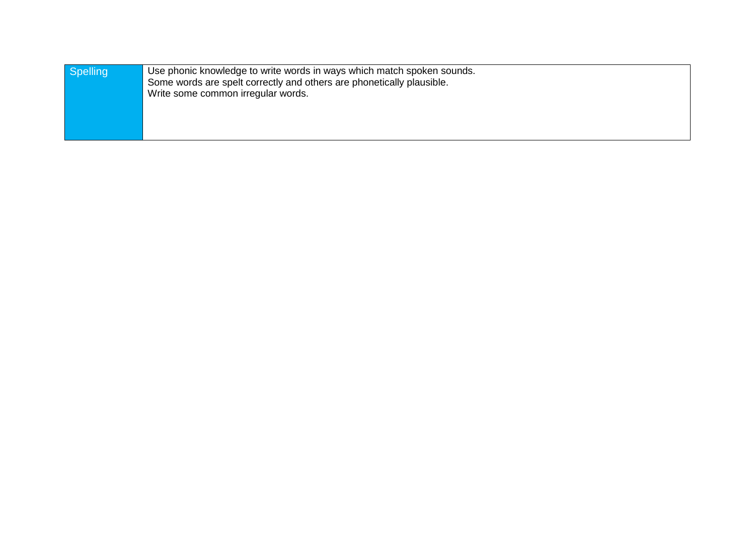| Spelling | Use phonic knowledge to write words in ways which match spoken sounds. |  |
|----------|------------------------------------------------------------------------|--|
|          | Some words are spelt correctly and others are phonetically plausible.  |  |
|          | Write some common irregular words.                                     |  |
|          |                                                                        |  |
|          |                                                                        |  |
|          |                                                                        |  |
|          |                                                                        |  |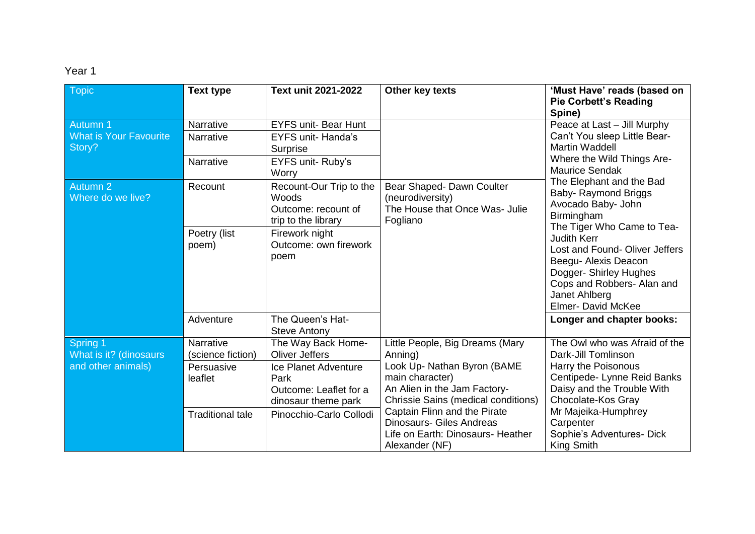| <b>Topic</b>                                             | <b>Text type</b>                                                         | Text unit 2021-2022                                                                                                          | Other key texts                                                                                                                                                                   | 'Must Have' reads (based on<br><b>Pie Corbett's Reading</b><br>Spine)                                                                                          |
|----------------------------------------------------------|--------------------------------------------------------------------------|------------------------------------------------------------------------------------------------------------------------------|-----------------------------------------------------------------------------------------------------------------------------------------------------------------------------------|----------------------------------------------------------------------------------------------------------------------------------------------------------------|
| Autumn 1<br><b>What is Your Favourite</b><br>Story?      | Narrative<br>Narrative                                                   | <b>EYFS unit- Bear Hunt</b><br><b>EYFS unit- Handa's</b><br>Surprise                                                         |                                                                                                                                                                                   | Peace at Last - Jill Murphy<br>Can't You sleep Little Bear-<br><b>Martin Waddell</b>                                                                           |
|                                                          | Narrative                                                                | EYFS unit-Ruby's<br>Worry                                                                                                    |                                                                                                                                                                                   | Where the Wild Things Are-<br><b>Maurice Sendak</b>                                                                                                            |
| Autumn 2<br>Where do we live?                            | Recount                                                                  | Recount-Our Trip to the<br>Woods<br>Outcome: recount of<br>trip to the library                                               | Bear Shaped- Dawn Coulter<br>(neurodiversity)<br>The House that Once Was- Julie<br>Fogliano                                                                                       | The Elephant and the Bad<br>Baby- Raymond Briggs<br>Avocado Baby- John<br>Birmingham<br>The Tiger Who Came to Tea-                                             |
|                                                          | Poetry (list<br>Firework night<br>Outcome: own firework<br>poem)<br>poem |                                                                                                                              | <b>Judith Kerr</b><br>Lost and Found-Oliver Jeffers<br>Beegu- Alexis Deacon<br>Dogger- Shirley Hughes<br>Cops and Robbers- Alan and<br>Janet Ahlberg<br><b>Elmer- David McKee</b> |                                                                                                                                                                |
|                                                          | Adventure                                                                | The Queen's Hat-<br><b>Steve Antony</b>                                                                                      |                                                                                                                                                                                   | Longer and chapter books:                                                                                                                                      |
| Spring 1<br>What is it? (dinosaurs<br>and other animals) | Narrative<br>(science fiction)<br>Persuasive<br>leaflet                  | The Way Back Home-<br><b>Oliver Jeffers</b><br>Ice Planet Adventure<br>Park<br>Outcome: Leaflet for a<br>dinosaur theme park | Little People, Big Dreams (Mary<br>Anning)<br>Look Up- Nathan Byron (BAME<br>main character)<br>An Alien in the Jam Factory-<br><b>Chrissie Sains (medical conditions)</b>        | The Owl who was Afraid of the<br>Dark-Jill Tomlinson<br>Harry the Poisonous<br>Centipede- Lynne Reid Banks<br>Daisy and the Trouble With<br>Chocolate-Kos Gray |
|                                                          | <b>Traditional tale</b>                                                  | Pinocchio-Carlo Collodi                                                                                                      | Captain Flinn and the Pirate<br><b>Dinosaurs- Giles Andreas</b><br>Life on Earth: Dinosaurs- Heather<br>Alexander (NF)                                                            | Mr Majeika-Humphrey<br>Carpenter<br>Sophie's Adventures- Dick<br>King Smith                                                                                    |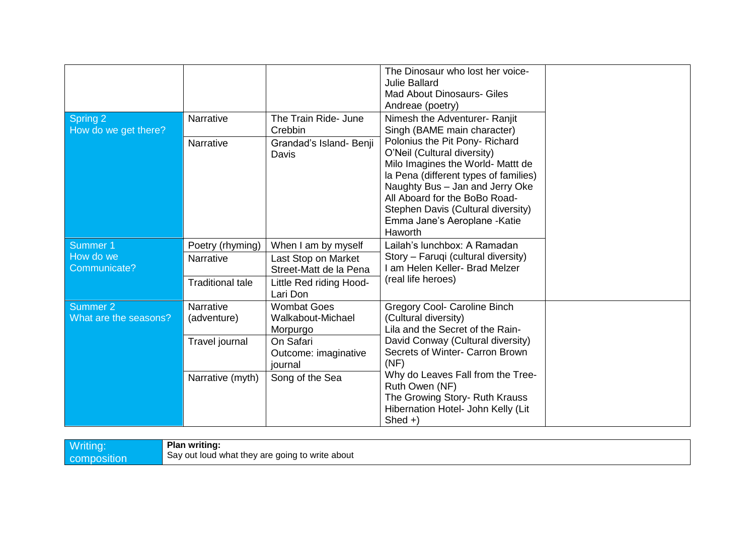| Spring 2                          | <b>Narrative</b>                | The Train Ride- June                                | The Dinosaur who lost her voice-<br><b>Julie Ballard</b><br><b>Mad About Dinosaurs- Giles</b><br>Andreae (poetry)<br>Nimesh the Adventurer- Ranjit                                                                                                                                                |  |
|-----------------------------------|---------------------------------|-----------------------------------------------------|---------------------------------------------------------------------------------------------------------------------------------------------------------------------------------------------------------------------------------------------------------------------------------------------------|--|
| How do we get there?              |                                 | Crebbin                                             | Singh (BAME main character)                                                                                                                                                                                                                                                                       |  |
|                                   | <b>Narrative</b>                | Grandad's Island- Benji<br>Davis                    | Polonius the Pit Pony- Richard<br>O'Neil (Cultural diversity)<br>Milo Imagines the World- Mattt de<br>la Pena (different types of families)<br>Naughty Bus - Jan and Jerry Oke<br>All Aboard for the BoBo Road-<br>Stephen Davis (Cultural diversity)<br>Emma Jane's Aeroplane - Katie<br>Haworth |  |
| Summer 1                          | Poetry (rhyming)                | When I am by myself                                 | Lailah's lunchbox: A Ramadan                                                                                                                                                                                                                                                                      |  |
| How do we<br>Communicate?         | <b>Narrative</b>                | Last Stop on Market<br>Street-Matt de la Pena       | Story - Faruqi (cultural diversity)<br>I am Helen Keller- Brad Melzer                                                                                                                                                                                                                             |  |
|                                   | <b>Traditional tale</b>         | Little Red riding Hood-<br>Lari Don                 | (real life heroes)                                                                                                                                                                                                                                                                                |  |
| Summer 2<br>What are the seasons? | <b>Narrative</b><br>(adventure) | <b>Wombat Goes</b><br>Walkabout-Michael<br>Morpurgo | <b>Gregory Cool- Caroline Binch</b><br>(Cultural diversity)<br>Lila and the Secret of the Rain-                                                                                                                                                                                                   |  |
|                                   | Travel journal                  | On Safari<br>Outcome: imaginative<br>journal        | David Conway (Cultural diversity)<br>Secrets of Winter- Carron Brown<br>(NF)                                                                                                                                                                                                                      |  |
|                                   | Narrative (myth)                | Song of the Sea                                     | Why do Leaves Fall from the Tree-<br>Ruth Owen (NF)<br>The Growing Story- Ruth Krauss<br>Hibernation Hotel- John Kelly (Lit<br>$Shed +$                                                                                                                                                           |  |

|  | vritino<br>lon.<br><b>compol</b> | <b>Plan writing:</b><br>Say out loud what they are going to write about |
|--|----------------------------------|-------------------------------------------------------------------------|
|--|----------------------------------|-------------------------------------------------------------------------|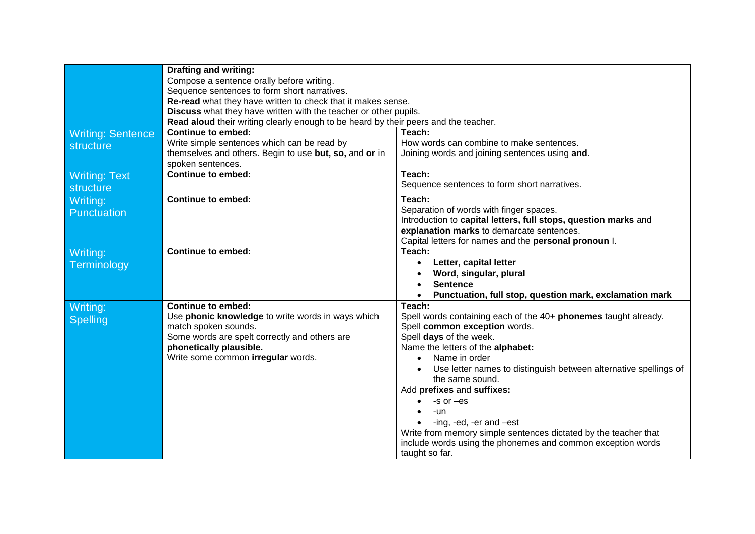|                          | <b>Drafting and writing:</b>                                                        |                                                                      |
|--------------------------|-------------------------------------------------------------------------------------|----------------------------------------------------------------------|
|                          | Compose a sentence orally before writing.                                           |                                                                      |
|                          | Sequence sentences to form short narratives.                                        |                                                                      |
|                          | Re-read what they have written to check that it makes sense.                        |                                                                      |
|                          | Discuss what they have written with the teacher or other pupils.                    |                                                                      |
|                          | Read aloud their writing clearly enough to be heard by their peers and the teacher. |                                                                      |
| <b>Writing: Sentence</b> | <b>Continue to embed:</b>                                                           | Teach:                                                               |
| structure                | Write simple sentences which can be read by                                         | How words can combine to make sentences.                             |
|                          | themselves and others. Begin to use but, so, and or in                              | Joining words and joining sentences using and.                       |
|                          | spoken sentences.                                                                   |                                                                      |
| <b>Writing: Text</b>     | <b>Continue to embed:</b>                                                           | Teach:                                                               |
| structure                |                                                                                     | Sequence sentences to form short narratives.                         |
| Writing:                 | <b>Continue to embed:</b>                                                           | Teach:                                                               |
| Punctuation              |                                                                                     | Separation of words with finger spaces.                              |
|                          |                                                                                     | Introduction to capital letters, full stops, question marks and      |
|                          |                                                                                     | explanation marks to demarcate sentences.                            |
|                          |                                                                                     | Capital letters for names and the personal pronoun I.                |
| Writing:                 | <b>Continue to embed:</b>                                                           | Teach:                                                               |
| Terminology              |                                                                                     | Letter, capital letter<br>$\bullet$                                  |
|                          |                                                                                     | Word, singular, plural                                               |
|                          |                                                                                     | <b>Sentence</b>                                                      |
|                          |                                                                                     | Punctuation, full stop, question mark, exclamation mark<br>$\bullet$ |
| Writing:                 | <b>Continue to embed:</b>                                                           | Teach:                                                               |
| <b>Spelling</b>          | Use phonic knowledge to write words in ways which                                   | Spell words containing each of the 40+ phonemes taught already.      |
|                          | match spoken sounds.                                                                | Spell common exception words.                                        |
|                          | Some words are spelt correctly and others are                                       | Spell days of the week.                                              |
|                          | phonetically plausible.                                                             | Name the letters of the alphabet:                                    |
|                          | Write some common irregular words.                                                  | Name in order<br>$\bullet$                                           |
|                          |                                                                                     | Use letter names to distinguish between alternative spellings of     |
|                          |                                                                                     | the same sound.                                                      |
|                          |                                                                                     | Add prefixes and suffixes:                                           |
|                          |                                                                                     | $-$ s or $-$ es                                                      |
|                          |                                                                                     | -un                                                                  |
|                          |                                                                                     | -ing, -ed, -er and -est                                              |
|                          |                                                                                     | Write from memory simple sentences dictated by the teacher that      |
|                          |                                                                                     | include words using the phonemes and common exception words          |
|                          |                                                                                     | taught so far.                                                       |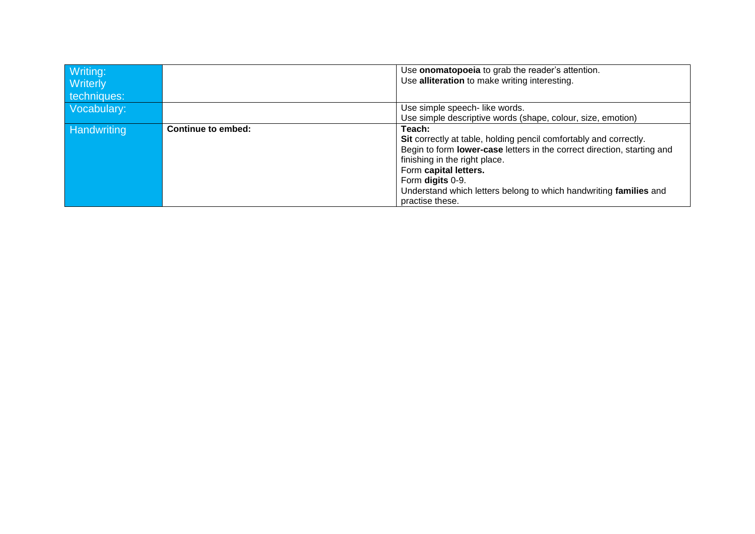| Writing:           |                    | Use onomatopoeia to grab the reader's attention.                        |
|--------------------|--------------------|-------------------------------------------------------------------------|
| <b>Writerly</b>    |                    | Use alliteration to make writing interesting.                           |
| techniques:        |                    |                                                                         |
| Vocabulary:        |                    | Use simple speech- like words.                                          |
|                    |                    | Use simple descriptive words (shape, colour, size, emotion)             |
| <b>Handwriting</b> | Continue to embed: | Teach:                                                                  |
|                    |                    | Sit correctly at table, holding pencil comfortably and correctly.       |
|                    |                    | Begin to form lower-case letters in the correct direction, starting and |
|                    |                    | finishing in the right place.                                           |
|                    |                    | Form capital letters.                                                   |
|                    |                    | Form digits 0-9.                                                        |
|                    |                    | Understand which letters belong to which handwriting families and       |
|                    |                    | practise these.                                                         |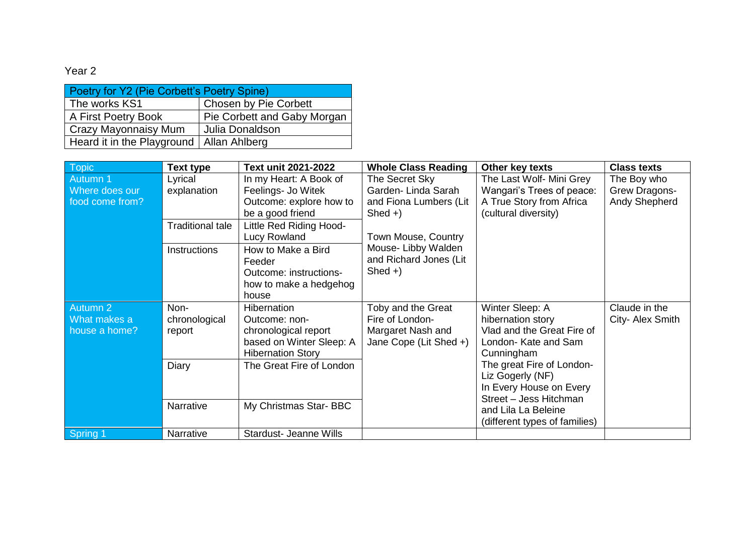| Poetry for Y2 (Pie Corbett's Poetry Spine) |                             |  |  |
|--------------------------------------------|-----------------------------|--|--|
| Chosen by Pie Corbett<br>The works KS1     |                             |  |  |
| A First Poetry Book                        | Pie Corbett and Gaby Morgan |  |  |
| <b>Crazy Mayonnaisy Mum</b>                | Julia Donaldson             |  |  |
| Heard it in the Playground   Allan Ahlberg |                             |  |  |

| <b>Topic</b>    | <b>Text type</b>        | Text unit 2021-2022           | <b>Whole Class Reading</b> | Other key texts               | <b>Class texts</b> |
|-----------------|-------------------------|-------------------------------|----------------------------|-------------------------------|--------------------|
| Autumn 1        | Lyrical                 | In my Heart: A Book of        | The Secret Sky             | The Last Wolf- Mini Grey      | The Boy who        |
| Where does our  | explanation             | Feelings- Jo Witek            | Garden-Linda Sarah         | Wangari's Trees of peace:     | Grew Dragons-      |
| food come from? |                         | Outcome: explore how to       | and Fiona Lumbers (Lit     | A True Story from Africa      | Andy Shepherd      |
|                 |                         | be a good friend              | $Shed +$                   | (cultural diversity)          |                    |
|                 | <b>Traditional tale</b> | Little Red Riding Hood-       |                            |                               |                    |
|                 |                         | Lucy Rowland                  | Town Mouse, Country        |                               |                    |
|                 | Instructions            | How to Make a Bird            | Mouse-Libby Walden         |                               |                    |
|                 |                         | Feeder                        | and Richard Jones (Lit     |                               |                    |
|                 |                         | Outcome: instructions-        | $Shed +$                   |                               |                    |
|                 |                         | how to make a hedgehog        |                            |                               |                    |
|                 |                         | house                         |                            |                               |                    |
| Autumn 2        | Non-                    | Hibernation                   | Toby and the Great         | Winter Sleep: A               | Claude in the      |
| What makes a    | chronological           | Outcome: non-                 | Fire of London-            | hibernation story             | City- Alex Smith   |
| house a home?   | report                  | chronological report          | Margaret Nash and          | Vlad and the Great Fire of    |                    |
|                 |                         | based on Winter Sleep: A      | Jane Cope (Lit Shed +)     | London- Kate and Sam          |                    |
|                 |                         | <b>Hibernation Story</b>      |                            | Cunningham                    |                    |
|                 | Diary                   | The Great Fire of London      |                            | The great Fire of London-     |                    |
|                 |                         |                               |                            | Liz Gogerly (NF)              |                    |
|                 |                         |                               |                            | In Every House on Every       |                    |
|                 | Narrative               | My Christmas Star-BBC         |                            | Street - Jess Hitchman        |                    |
|                 |                         |                               |                            | and Lila La Beleine           |                    |
|                 |                         |                               |                            | (different types of families) |                    |
| Spring 1        | Narrative               | <b>Stardust- Jeanne Wills</b> |                            |                               |                    |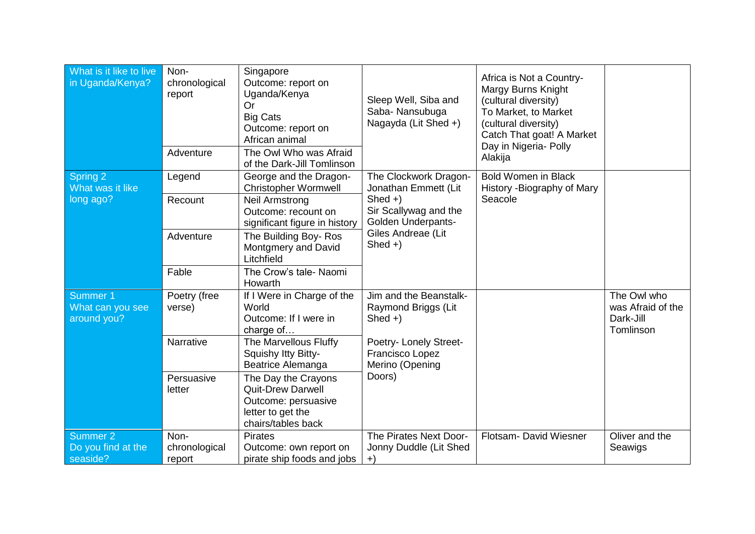| What is it like to live<br>in Uganda/Kenya?           | Non-<br>chronological<br>report | Singapore<br>Outcome: report on<br>Uganda/Kenya<br><b>Or</b><br><b>Big Cats</b><br>Outcome: report on<br>African animal | Sleep Well, Siba and<br>Saba- Nansubuga<br>Nagayda (Lit Shed +)                             | Africa is Not a Country-<br>Margy Burns Knight<br>(cultural diversity)<br>To Market, to Market<br>(cultural diversity)<br>Catch That goat! A Market<br>Day in Nigeria- Polly |                                                            |
|-------------------------------------------------------|---------------------------------|-------------------------------------------------------------------------------------------------------------------------|---------------------------------------------------------------------------------------------|------------------------------------------------------------------------------------------------------------------------------------------------------------------------------|------------------------------------------------------------|
|                                                       | Adventure                       | The Owl Who was Afraid<br>of the Dark-Jill Tomlinson                                                                    |                                                                                             | Alakija                                                                                                                                                                      |                                                            |
| Spring 2<br>What was it like                          | Legend                          | George and the Dragon-<br><b>Christopher Wormwell</b>                                                                   | The Clockwork Dragon-<br>Jonathan Emmett (Lit                                               | <b>Bold Women in Black</b><br>History - Biography of Mary                                                                                                                    |                                                            |
| long ago?                                             | Recount                         | <b>Neil Armstrong</b><br>Outcome: recount on<br>significant figure in history                                           | $Shed +$<br>Sir Scallywag and the<br>Golden Underpants-<br>Giles Andreae (Lit<br>Shed $+$ ) | Seacole                                                                                                                                                                      |                                                            |
|                                                       | Adventure                       | The Building Boy-Ros<br>Montgmery and David<br>Litchfield                                                               |                                                                                             |                                                                                                                                                                              |                                                            |
|                                                       | Fable                           | The Crow's tale- Naomi<br>Howarth                                                                                       |                                                                                             |                                                                                                                                                                              |                                                            |
| Summer 1<br>What can you see<br>around you?           | Poetry (free<br>verse)          | If I Were in Charge of the<br>World<br>Outcome: If I were in<br>charge of                                               | Jim and the Beanstalk-<br>Raymond Briggs (Lit<br>$Shed +)$                                  |                                                                                                                                                                              | The Owl who<br>was Afraid of the<br>Dark-Jill<br>Tomlinson |
|                                                       | Narrative                       | The Marvellous Fluffy<br>Squishy Itty Bitty-<br><b>Beatrice Alemanga</b>                                                | Poetry- Lonely Street-<br>Francisco Lopez<br>Merino (Opening                                |                                                                                                                                                                              |                                                            |
|                                                       | Persuasive<br>letter            | The Day the Crayons<br><b>Quit-Drew Darwell</b><br>Outcome: persuasive<br>letter to get the<br>chairs/tables back       | Doors)                                                                                      |                                                                                                                                                                              |                                                            |
| Summer <sub>2</sub><br>Do you find at the<br>seaside? | Non-<br>chronological<br>report | <b>Pirates</b><br>Outcome: own report on<br>pirate ship foods and jobs                                                  | The Pirates Next Door-<br>Jonny Duddle (Lit Shed<br>$+$                                     | Flotsam- David Wiesner                                                                                                                                                       | Oliver and the<br>Seawigs                                  |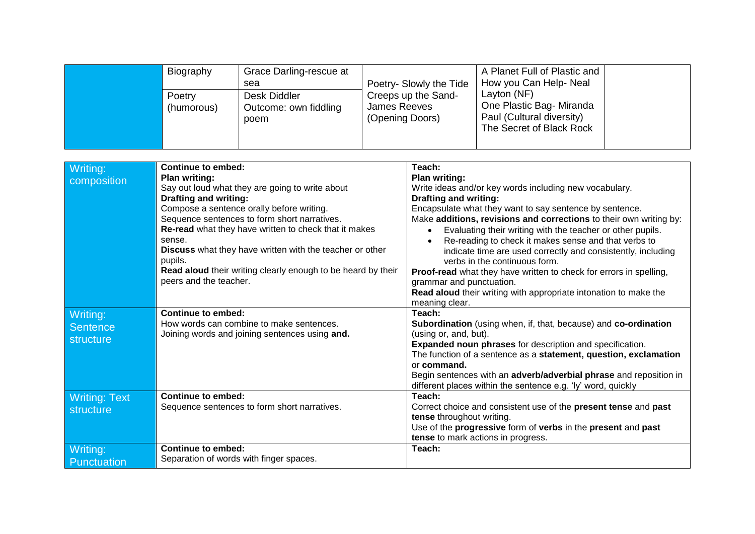| Biography |            | Grace Darling-rescue at<br>sea                | Poetry- Slowly the Tide                                | A Planet Full of Plastic and<br>How you Can Help-Neal                                            |  |
|-----------|------------|-----------------------------------------------|--------------------------------------------------------|--------------------------------------------------------------------------------------------------|--|
| Poetry    | (humorous) | Desk Diddler<br>Outcome: own fiddling<br>poem | Creeps up the Sand-<br>James Reeves<br>(Opening Doors) | Layton (NF)<br>One Plastic Bag- Miranda<br>Paul (Cultural diversity)<br>The Secret of Black Rock |  |

| Writing:<br>composition                  | <b>Continue to embed:</b><br><b>Plan writing:</b><br>Say out loud what they are going to write about<br><b>Drafting and writing:</b><br>Compose a sentence orally before writing.<br>Sequence sentences to form short narratives.<br>Re-read what they have written to check that it makes<br>sense.<br>Discuss what they have written with the teacher or other<br>pupils.<br>Read aloud their writing clearly enough to be heard by their<br>peers and the teacher. | Teach:<br><b>Plan writing:</b><br>Write ideas and/or key words including new vocabulary.<br><b>Drafting and writing:</b><br>Encapsulate what they want to say sentence by sentence.<br>Make additions, revisions and corrections to their own writing by:<br>Evaluating their writing with the teacher or other pupils.<br>Re-reading to check it makes sense and that verbs to<br>indicate time are used correctly and consistently, including<br>verbs in the continuous form.<br>Proof-read what they have written to check for errors in spelling,<br>grammar and punctuation.<br>Read aloud their writing with appropriate intonation to make the<br>meaning clear. |
|------------------------------------------|-----------------------------------------------------------------------------------------------------------------------------------------------------------------------------------------------------------------------------------------------------------------------------------------------------------------------------------------------------------------------------------------------------------------------------------------------------------------------|--------------------------------------------------------------------------------------------------------------------------------------------------------------------------------------------------------------------------------------------------------------------------------------------------------------------------------------------------------------------------------------------------------------------------------------------------------------------------------------------------------------------------------------------------------------------------------------------------------------------------------------------------------------------------|
| Writing:<br><b>Sentence</b><br>structure | <b>Continue to embed:</b><br>How words can combine to make sentences.<br>Joining words and joining sentences using and.                                                                                                                                                                                                                                                                                                                                               | Teach:<br>Subordination (using when, if, that, because) and co-ordination<br>(using or, and, but).<br><b>Expanded noun phrases for description and specification.</b><br>The function of a sentence as a statement, question, exclamation<br>or command.<br>Begin sentences with an adverb/adverbial phrase and reposition in<br>different places within the sentence e.g. 'ly' word, quickly                                                                                                                                                                                                                                                                            |
| <b>Writing: Text</b><br>structure        | <b>Continue to embed:</b><br>Sequence sentences to form short narratives.                                                                                                                                                                                                                                                                                                                                                                                             | Teach:<br>Correct choice and consistent use of the present tense and past<br>tense throughout writing.<br>Use of the progressive form of verbs in the present and past<br>tense to mark actions in progress.                                                                                                                                                                                                                                                                                                                                                                                                                                                             |
| Writing:<br>Punctuation                  | <b>Continue to embed:</b><br>Separation of words with finger spaces.                                                                                                                                                                                                                                                                                                                                                                                                  | Teach:                                                                                                                                                                                                                                                                                                                                                                                                                                                                                                                                                                                                                                                                   |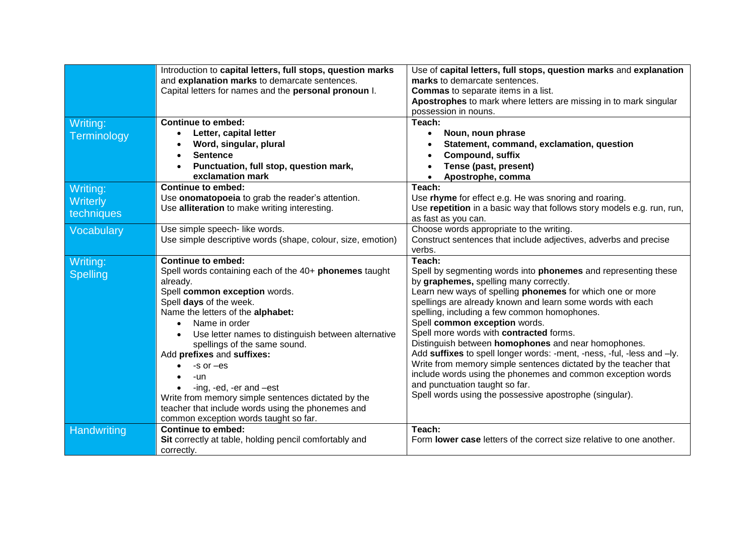|                 | Introduction to capital letters, full stops, question marks      | Use of capital letters, full stops, question marks and explanation                                                            |
|-----------------|------------------------------------------------------------------|-------------------------------------------------------------------------------------------------------------------------------|
|                 | and explanation marks to demarcate sentences.                    | marks to demarcate sentences.                                                                                                 |
|                 | Capital letters for names and the personal pronoun I.            | <b>Commas</b> to separate items in a list.                                                                                    |
|                 |                                                                  | Apostrophes to mark where letters are missing in to mark singular                                                             |
|                 |                                                                  | possession in nouns.                                                                                                          |
| Writing:        | <b>Continue to embed:</b>                                        | Teach:                                                                                                                        |
| Terminology     | Letter, capital letter<br>$\bullet$                              | Noun, noun phrase<br>$\bullet$                                                                                                |
|                 | Word, singular, plural<br>$\bullet$                              | Statement, command, exclamation, question                                                                                     |
|                 | <b>Sentence</b><br>$\bullet$                                     | <b>Compound, suffix</b>                                                                                                       |
|                 | Punctuation, full stop, question mark,                           | Tense (past, present)                                                                                                         |
|                 | exclamation mark                                                 | Apostrophe, comma                                                                                                             |
| Writing:        | <b>Continue to embed:</b>                                        | Teach:                                                                                                                        |
| Writerly        | Use onomatopoeia to grab the reader's attention.                 | Use rhyme for effect e.g. He was snoring and roaring.                                                                         |
|                 | Use alliteration to make writing interesting.                    | Use repetition in a basic way that follows story models e.g. run, run,                                                        |
| techniques      |                                                                  | as fast as you can.                                                                                                           |
| Vocabulary      | Use simple speech- like words.                                   | Choose words appropriate to the writing.                                                                                      |
|                 | Use simple descriptive words (shape, colour, size, emotion)      | Construct sentences that include adjectives, adverbs and precise                                                              |
|                 |                                                                  | verbs.                                                                                                                        |
| Writing:        | <b>Continue to embed:</b>                                        | Teach:                                                                                                                        |
| <b>Spelling</b> | Spell words containing each of the 40+ phonemes taught           | Spell by segmenting words into <b>phonemes</b> and representing these                                                         |
|                 | already.                                                         | by graphemes, spelling many correctly.                                                                                        |
|                 | Spell common exception words.                                    | Learn new ways of spelling phonemes for which one or more                                                                     |
|                 | Spell days of the week.                                          | spellings are already known and learn some words with each                                                                    |
|                 | Name the letters of the alphabet:                                | spelling, including a few common homophones.                                                                                  |
|                 | Name in order<br>$\bullet$                                       | Spell common exception words.                                                                                                 |
|                 | Use letter names to distinguish between alternative<br>$\bullet$ | Spell more words with contracted forms.                                                                                       |
|                 | spellings of the same sound.                                     | Distinguish between homophones and near homophones.<br>Add suffixes to spell longer words: -ment, -ness, -ful, -less and -ly. |
|                 | Add prefixes and suffixes:                                       | Write from memory simple sentences dictated by the teacher that                                                               |
|                 | $-S$ or $-es$                                                    | include words using the phonemes and common exception words                                                                   |
|                 | -un                                                              | and punctuation taught so far.                                                                                                |
|                 | -ing, -ed, -er and -est                                          | Spell words using the possessive apostrophe (singular).                                                                       |
|                 | Write from memory simple sentences dictated by the               |                                                                                                                               |
|                 | teacher that include words using the phonemes and                |                                                                                                                               |
|                 | common exception words taught so far.                            |                                                                                                                               |
| Handwriting     | <b>Continue to embed:</b>                                        | Teach:<br>Form lower case letters of the correct size relative to one another.                                                |
|                 | Sit correctly at table, holding pencil comfortably and           |                                                                                                                               |
|                 | correctly.                                                       |                                                                                                                               |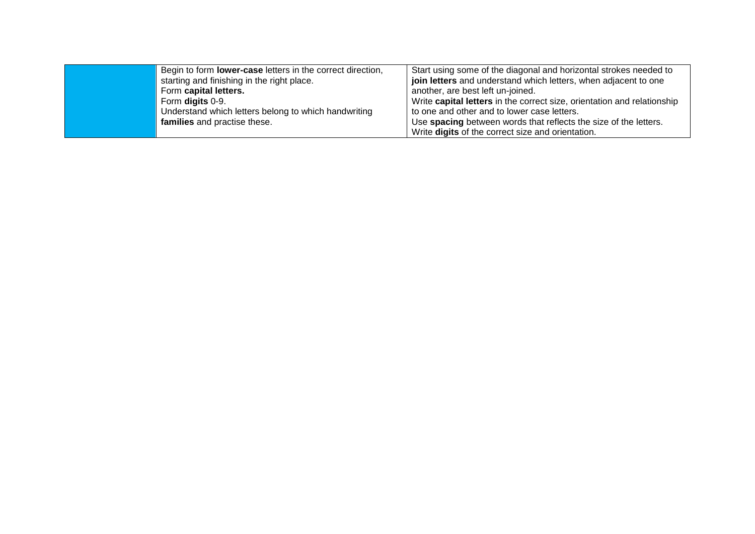| Begin to form <b>lower-case</b> letters in the correct direction, | Start using some of the diagonal and horizontal strokes needed to       |
|-------------------------------------------------------------------|-------------------------------------------------------------------------|
| starting and finishing in the right place.                        | join letters and understand which letters, when adjacent to one         |
| Form capital letters.                                             | another, are best left un-joined.                                       |
| Form digits 0-9.                                                  | Write capital letters in the correct size, orientation and relationship |
| Understand which letters belong to which handwriting              | to one and other and to lower case letters.                             |
| families and practise these.                                      | Use spacing between words that reflects the size of the letters.        |
|                                                                   | Write digits of the correct size and orientation.                       |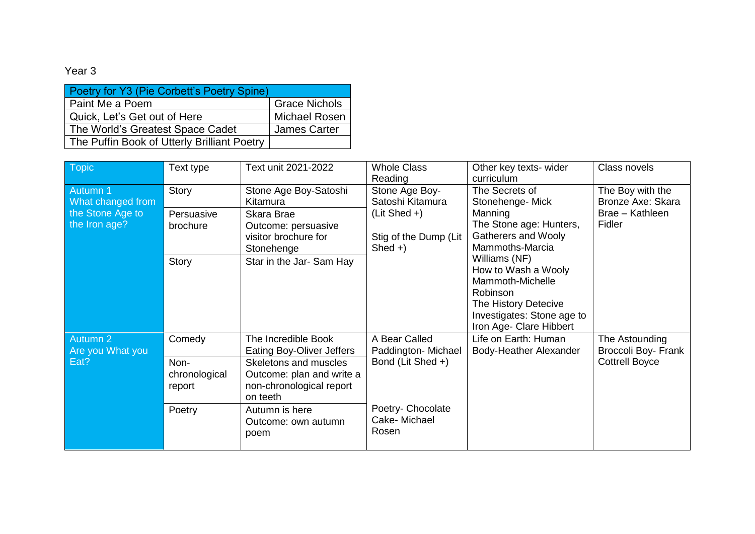| Poetry for Y3 (Pie Corbett's Poetry Spine)  |                      |  |  |
|---------------------------------------------|----------------------|--|--|
| Paint Me a Poem                             | <b>Grace Nichols</b> |  |  |
| Quick, Let's Get out of Here                | <b>Michael Rosen</b> |  |  |
| The World's Greatest Space Cadet            | <b>James Carter</b>  |  |  |
| The Puffin Book of Utterly Brilliant Poetry |                      |  |  |

| Topic                                                              | Text type                                           | Text unit 2021-2022                                                                                                                                                     | <b>Whole Class</b><br>Reading                                                                                                                                                                                                                                                                                                                                                 | Other key texts- wider<br>curriculum           | Class novels                                                       |
|--------------------------------------------------------------------|-----------------------------------------------------|-------------------------------------------------------------------------------------------------------------------------------------------------------------------------|-------------------------------------------------------------------------------------------------------------------------------------------------------------------------------------------------------------------------------------------------------------------------------------------------------------------------------------------------------------------------------|------------------------------------------------|--------------------------------------------------------------------|
| Autumn 1<br>What changed from<br>the Stone Age to<br>the Iron age? | Story<br>Persuasive<br>brochure                     | Stone Age Boy-Satoshi<br>Kitamura<br>Skara Brae<br>Outcome: persuasive<br>visitor brochure for                                                                          | Stone Age Boy-<br>The Secrets of<br>Satoshi Kitamura<br>Stonehenge- Mick<br>(Lit Shed +)<br>Manning<br>The Stone age: Hunters,<br><b>Gatherers and Wooly</b><br>Stig of the Dump (Lit<br>Mammoths-Marcia<br>$Shed +$<br>Williams (NF)<br>How to Wash a Wooly<br>Mammoth-Michelle<br>Robinson<br>The History Detecive<br>Investigates: Stone age to<br>Iron Age- Clare Hibbert |                                                | The Boy with the<br>Bronze Axe: Skara<br>Brae - Kathleen<br>Fidler |
|                                                                    | <b>Story</b>                                        | Stonehenge<br>Star in the Jar- Sam Hay                                                                                                                                  |                                                                                                                                                                                                                                                                                                                                                                               |                                                |                                                                    |
| Autumn 2<br>Are you What you<br>Eat?                               | Comedy<br>Non-<br>chronological<br>report<br>Poetry | The Incredible Book<br><b>Eating Boy-Oliver Jeffers</b><br>Skeletons and muscles<br>Outcome: plan and write a<br>non-chronological report<br>on teeth<br>Autumn is here | A Bear Called<br>Paddington-Michael<br>Bond (Lit Shed +)<br>Poetry- Chocolate                                                                                                                                                                                                                                                                                                 | Life on Earth: Human<br>Body-Heather Alexander | The Astounding<br>Broccoli Boy- Frank<br><b>Cottrell Boyce</b>     |
|                                                                    |                                                     | Outcome: own autumn<br>poem                                                                                                                                             | Cake-Michael<br>Rosen                                                                                                                                                                                                                                                                                                                                                         |                                                |                                                                    |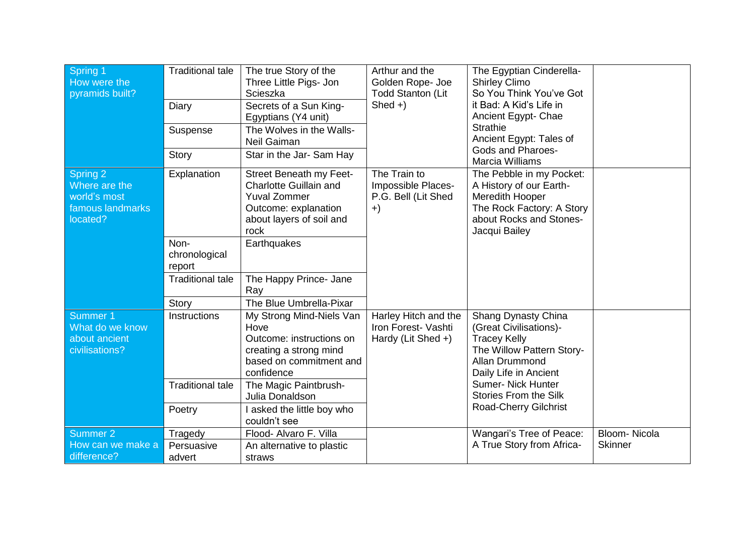| Spring 1<br>How were the<br>pyramids built?                               | <b>Traditional tale</b><br>Diary<br>Suspense<br>Story      | The true Story of the<br>Three Little Pigs- Jon<br>Scieszka<br>Secrets of a Sun King-<br>Egyptians (Y4 unit)<br>The Wolves in the Walls-<br>Neil Gaiman<br>Star in the Jar- Sam Hay | Arthur and the<br>Golden Rope- Joe<br><b>Todd Stanton (Lit</b><br>$Shed +$ | The Egyptian Cinderella-<br><b>Shirley Climo</b><br>So You Think You've Got<br>it Bad: A Kid's Life in<br>Ancient Egypt- Chae<br><b>Strathie</b><br>Ancient Egypt: Tales of<br><b>Gods and Pharoes-</b><br><b>Marcia Williams</b> |                                |
|---------------------------------------------------------------------------|------------------------------------------------------------|-------------------------------------------------------------------------------------------------------------------------------------------------------------------------------------|----------------------------------------------------------------------------|-----------------------------------------------------------------------------------------------------------------------------------------------------------------------------------------------------------------------------------|--------------------------------|
| Spring 2<br>Where are the<br>world's most<br>famous landmarks<br>located? | Explanation                                                | <b>Street Beneath my Feet-</b><br><b>Charlotte Guillain and</b><br><b>Yuval Zommer</b><br>Outcome: explanation<br>about layers of soil and<br>rock                                  | The Train to<br>Impossible Places-<br>P.G. Bell (Lit Shed<br>$+)$          | The Pebble in my Pocket:<br>A History of our Earth-<br>Meredith Hooper<br>The Rock Factory: A Story<br>about Rocks and Stones-<br>Jacqui Bailey                                                                                   |                                |
|                                                                           | Non-<br>chronological<br>report<br><b>Traditional tale</b> | Earthquakes<br>The Happy Prince- Jane<br>Ray                                                                                                                                        |                                                                            |                                                                                                                                                                                                                                   |                                |
| Summer 1<br>What do we know<br>about ancient<br>civilisations?            | Story<br>Instructions<br><b>Traditional tale</b>           | The Blue Umbrella-Pixar<br>My Strong Mind-Niels Van<br>Hove<br>Outcome: instructions on<br>creating a strong mind<br>based on commitment and<br>confidence<br>The Magic Paintbrush- | Harley Hitch and the<br>Iron Forest- Vashti<br>Hardy (Lit Shed +)          | Shang Dynasty China<br>(Great Civilisations)-<br><b>Tracey Kelly</b><br>The Willow Pattern Story-<br><b>Allan Drummond</b><br>Daily Life in Ancient<br><b>Sumer- Nick Hunter</b>                                                  |                                |
|                                                                           | Poetry                                                     | Julia Donaldson<br>I asked the little boy who<br>couldn't see                                                                                                                       |                                                                            | <b>Stories From the Silk</b><br><b>Road-Cherry Gilchrist</b>                                                                                                                                                                      |                                |
| Summer 2<br>How can we make a<br>difference?                              | Tragedy<br>Persuasive<br>advert                            | Flood- Alvaro F. Villa<br>An alternative to plastic<br>straws                                                                                                                       |                                                                            | Wangari's Tree of Peace:<br>A True Story from Africa-                                                                                                                                                                             | Bloom-Nicola<br><b>Skinner</b> |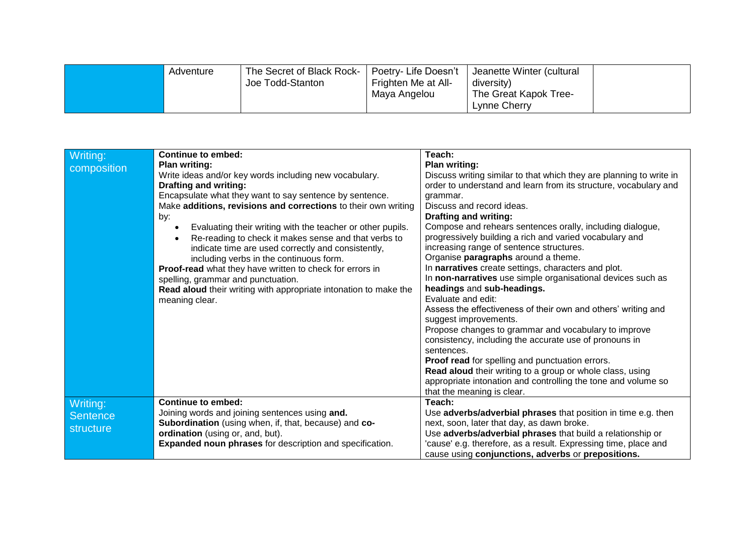| The Secret of Black Rock-<br>Adventure<br>Joe Todd-Stanton | Poetry- Life Doesn't<br>Frighten Me at All-<br>Maya Angelou | Jeanette Winter (cultural<br>diversity)<br><sup>1</sup> The Great Kapok Tree-<br>Lynne Cherry |  |
|------------------------------------------------------------|-------------------------------------------------------------|-----------------------------------------------------------------------------------------------|--|
|------------------------------------------------------------|-------------------------------------------------------------|-----------------------------------------------------------------------------------------------|--|

| Writing:<br>composition           | <b>Continue to embed:</b><br><b>Plan writing:</b><br>Write ideas and/or key words including new vocabulary.<br><b>Drafting and writing:</b><br>Encapsulate what they want to say sentence by sentence.<br>Make additions, revisions and corrections to their own writing<br>by:<br>Evaluating their writing with the teacher or other pupils.<br>Re-reading to check it makes sense and that verbs to<br>indicate time are used correctly and consistently,<br>including verbs in the continuous form.<br>Proof-read what they have written to check for errors in<br>spelling, grammar and punctuation. | Teach:<br><b>Plan writing:</b><br>Discuss writing similar to that which they are planning to write in<br>order to understand and learn from its structure, vocabulary and<br>grammar.<br>Discuss and record ideas.<br><b>Drafting and writing:</b><br>Compose and rehears sentences orally, including dialogue,<br>progressively building a rich and varied vocabulary and<br>increasing range of sentence structures.<br>Organise paragraphs around a theme.<br>In narratives create settings, characters and plot.<br>In non-narratives use simple organisational devices such as |
|-----------------------------------|----------------------------------------------------------------------------------------------------------------------------------------------------------------------------------------------------------------------------------------------------------------------------------------------------------------------------------------------------------------------------------------------------------------------------------------------------------------------------------------------------------------------------------------------------------------------------------------------------------|-------------------------------------------------------------------------------------------------------------------------------------------------------------------------------------------------------------------------------------------------------------------------------------------------------------------------------------------------------------------------------------------------------------------------------------------------------------------------------------------------------------------------------------------------------------------------------------|
|                                   | Read aloud their writing with appropriate intonation to make the<br>meaning clear.                                                                                                                                                                                                                                                                                                                                                                                                                                                                                                                       | headings and sub-headings.<br>Evaluate and edit:<br>Assess the effectiveness of their own and others' writing and<br>suggest improvements.<br>Propose changes to grammar and vocabulary to improve<br>consistency, including the accurate use of pronouns in<br>sentences.<br>Proof read for spelling and punctuation errors.<br>Read aloud their writing to a group or whole class, using<br>appropriate intonation and controlling the tone and volume so<br>that the meaning is clear.                                                                                           |
| Writing:<br>Sentence<br>structure | <b>Continue to embed:</b><br>Joining words and joining sentences using and.<br>Subordination (using when, if, that, because) and co-<br>ordination (using or, and, but).<br>Expanded noun phrases for description and specification.                                                                                                                                                                                                                                                                                                                                                                     | Teach:<br>Use adverbs/adverbial phrases that position in time e.g. then<br>next, soon, later that day, as dawn broke.<br>Use adverbs/adverbial phrases that build a relationship or<br>'cause' e.g. therefore, as a result. Expressing time, place and<br>cause using conjunctions, adverbs or prepositions.                                                                                                                                                                                                                                                                        |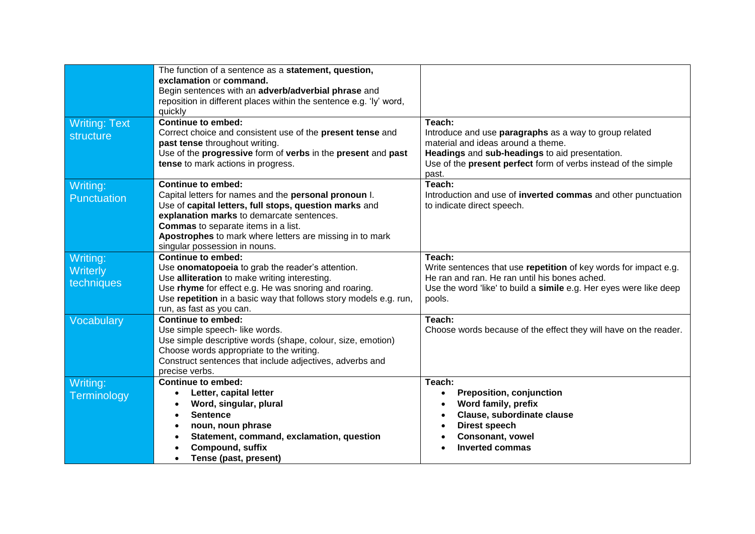|                                    | The function of a sentence as a statement, question,<br>exclamation or command.<br>Begin sentences with an adverb/adverbial phrase and<br>reposition in different places within the sentence e.g. 'ly' word,<br>quickly                                                                                                       |                                                                                                                                                                                                                                     |
|------------------------------------|-------------------------------------------------------------------------------------------------------------------------------------------------------------------------------------------------------------------------------------------------------------------------------------------------------------------------------|-------------------------------------------------------------------------------------------------------------------------------------------------------------------------------------------------------------------------------------|
| <b>Writing: Text</b><br>structure  | <b>Continue to embed:</b><br>Correct choice and consistent use of the present tense and<br>past tense throughout writing.<br>Use of the progressive form of verbs in the present and past<br>tense to mark actions in progress.                                                                                               | Teach:<br>Introduce and use paragraphs as a way to group related<br>material and ideas around a theme.<br>Headings and sub-headings to aid presentation.<br>Use of the present perfect form of verbs instead of the simple<br>past. |
| Writing:<br>Punctuation            | Continue to embed:<br>Capital letters for names and the personal pronoun I.<br>Use of capital letters, full stops, question marks and<br>explanation marks to demarcate sentences.<br><b>Commas</b> to separate items in a list.<br>Apostrophes to mark where letters are missing in to mark<br>singular possession in nouns. | Teach:<br>Introduction and use of inverted commas and other punctuation<br>to indicate direct speech.                                                                                                                               |
| Writing:<br>Writerly<br>techniques | <b>Continue to embed:</b><br>Use onomatopoeia to grab the reader's attention.<br>Use alliteration to make writing interesting.<br>Use rhyme for effect e.g. He was snoring and roaring.<br>Use repetition in a basic way that follows story models e.g. run,<br>run, as fast as you can.                                      | Teach:<br>Write sentences that use repetition of key words for impact e.g.<br>He ran and ran. He ran until his bones ached.<br>Use the word 'like' to build a simile e.g. Her eyes were like deep<br>pools.                         |
| Vocabulary                         | <b>Continue to embed:</b><br>Use simple speech- like words.<br>Use simple descriptive words (shape, colour, size, emotion)<br>Choose words appropriate to the writing.<br>Construct sentences that include adjectives, adverbs and<br>precise verbs.                                                                          | Teach:<br>Choose words because of the effect they will have on the reader.                                                                                                                                                          |
| Writing:<br>Terminology            | <b>Continue to embed:</b><br>Letter, capital letter<br>$\bullet$<br>Word, singular, plural<br><b>Sentence</b><br>$\bullet$<br>noun, noun phrase<br>Statement, command, exclamation, question<br><b>Compound, suffix</b><br>Tense (past, present)                                                                              | Teach:<br><b>Preposition, conjunction</b><br>$\bullet$<br>Word family, prefix<br>Clause, subordinate clause<br>Direst speech<br><b>Consonant, vowel</b><br><b>Inverted commas</b>                                                   |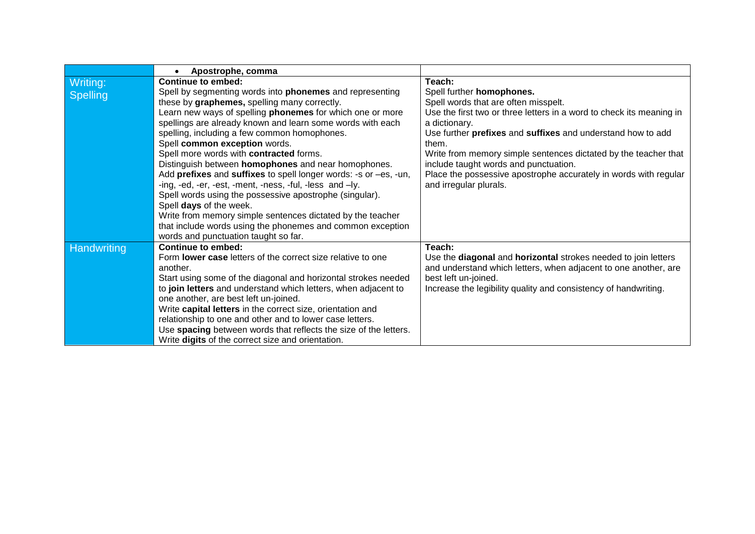|                    | Apostrophe, comma                                                  |                                                                      |
|--------------------|--------------------------------------------------------------------|----------------------------------------------------------------------|
| Writing:           | Continue to embed:                                                 | Teach:                                                               |
| <b>Spelling</b>    | Spell by segmenting words into <b>phonemes</b> and representing    | Spell further homophones.                                            |
|                    | these by graphemes, spelling many correctly.                       | Spell words that are often misspelt.                                 |
|                    | Learn new ways of spelling <b>phonemes</b> for which one or more   | Use the first two or three letters in a word to check its meaning in |
|                    | spellings are already known and learn some words with each         | a dictionary.                                                        |
|                    | spelling, including a few common homophones.                       | Use further prefixes and suffixes and understand how to add          |
|                    | Spell common exception words.                                      | them.                                                                |
|                    | Spell more words with contracted forms.                            | Write from memory simple sentences dictated by the teacher that      |
|                    | Distinguish between homophones and near homophones.                | include taught words and punctuation.                                |
|                    | Add prefixes and suffixes to spell longer words: -s or -es, -un,   | Place the possessive apostrophe accurately in words with regular     |
|                    | -ing, -ed, -er, -est, -ment, -ness, -ful, -less and -ly.           | and irregular plurals.                                               |
|                    | Spell words using the possessive apostrophe (singular).            |                                                                      |
|                    | Spell days of the week.                                            |                                                                      |
|                    | Write from memory simple sentences dictated by the teacher         |                                                                      |
|                    | that include words using the phonemes and common exception         |                                                                      |
|                    | words and punctuation taught so far.                               |                                                                      |
| <b>Handwriting</b> | Continue to embed:                                                 | Teach:                                                               |
|                    | Form <b>lower case</b> letters of the correct size relative to one | Use the diagonal and horizontal strokes needed to join letters       |
|                    | another.                                                           | and understand which letters, when adjacent to one another, are      |
|                    | Start using some of the diagonal and horizontal strokes needed     | best left un-joined.                                                 |
|                    | to join letters and understand which letters, when adjacent to     | Increase the legibility quality and consistency of handwriting.      |
|                    | one another, are best left un-joined.                              |                                                                      |
|                    | Write capital letters in the correct size, orientation and         |                                                                      |
|                    | relationship to one and other and to lower case letters.           |                                                                      |
|                    | Use spacing between words that reflects the size of the letters.   |                                                                      |
|                    | Write digits of the correct size and orientation.                  |                                                                      |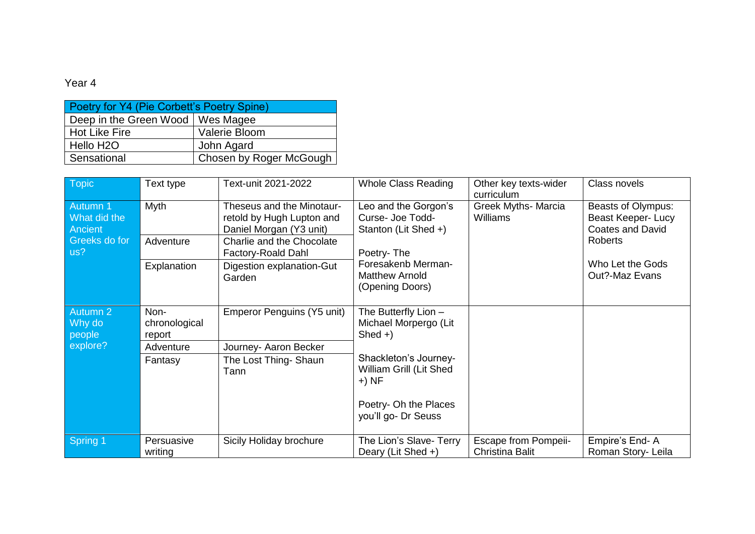| Poetry for Y4 (Pie Corbett's Poetry Spine) |                         |  |  |
|--------------------------------------------|-------------------------|--|--|
| Deep in the Green Wood   Wes Magee         |                         |  |  |
| Hot Like Fire                              | Valerie Bloom           |  |  |
| Hello H <sub>2</sub> O                     | John Agard              |  |  |
| Sensational                                | Chosen by Roger McGough |  |  |

| <b>Topic</b>                        | Text type                       | Text-unit 2021-2022                                                               | <b>Whole Class Reading</b>                                       | Other key texts-wider<br>curriculum            | Class novels                                                        |
|-------------------------------------|---------------------------------|-----------------------------------------------------------------------------------|------------------------------------------------------------------|------------------------------------------------|---------------------------------------------------------------------|
| Autumn 1<br>What did the<br>Ancient | Myth                            | Theseus and the Minotaur-<br>retold by Hugh Lupton and<br>Daniel Morgan (Y3 unit) | Leo and the Gorgon's<br>Curse- Joe Todd-<br>Stanton (Lit Shed +) | <b>Greek Myths- Marcia</b><br><b>Williams</b>  | Beasts of Olympus:<br>Beast Keeper- Lucy<br><b>Coates and David</b> |
| Greeks do for<br>us?                | Adventure                       | Charlie and the Chocolate<br>Factory-Roald Dahl                                   | Poetry-The                                                       |                                                | <b>Roberts</b>                                                      |
|                                     | Explanation                     | Digestion explanation-Gut<br>Garden                                               | Foresakenb Merman-<br><b>Matthew Arnold</b><br>(Opening Doors)   |                                                | Who Let the Gods<br>Out?-Maz Evans                                  |
| Autumn 2<br>Why do<br>people        | Non-<br>chronological<br>report | Emperor Penguins (Y5 unit)                                                        | The Butterfly Lion -<br>Michael Morpergo (Lit<br>$Shed +$        |                                                |                                                                     |
| explore?                            | Adventure                       | Journey- Aaron Becker                                                             |                                                                  |                                                |                                                                     |
|                                     | Fantasy                         | The Lost Thing- Shaun<br>Tann                                                     | Shackleton's Journey-<br>William Grill (Lit Shed<br>$+) NF$      |                                                |                                                                     |
|                                     |                                 |                                                                                   | Poetry- Oh the Places<br>you'll go- Dr Seuss                     |                                                |                                                                     |
| Spring 1                            | Persuasive<br>writing           | Sicily Holiday brochure                                                           | The Lion's Slave- Terry<br>Deary (Lit Shed +)                    | <b>Escape from Pompeii-</b><br>Christina Balit | Empire's End-A<br>Roman Story- Leila                                |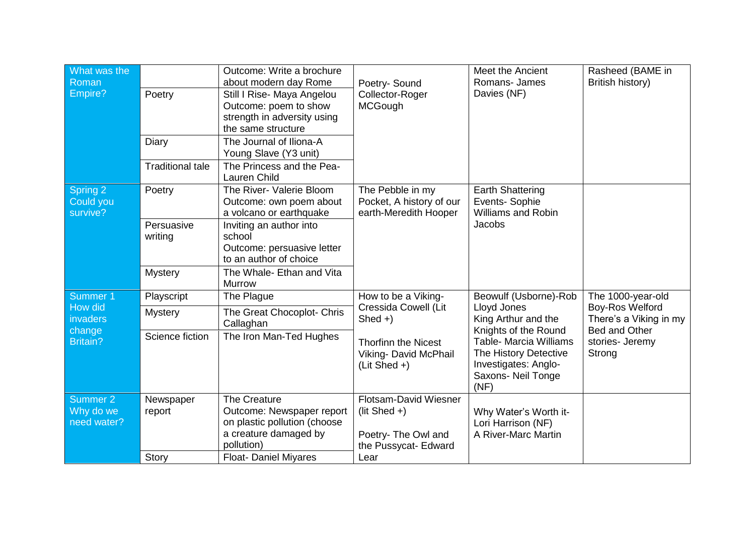| What was the<br>Roman<br>Empire?                | Outcome: Write a brochure<br>about modern day Rome<br>Poetry-Sound<br>Poetry<br>Collector-Roger<br>Still I Rise- Maya Angelou<br><b>MCGough</b><br>Outcome: poem to show<br>strength in adversity using<br>the same structure |                                                                                                                  | Meet the Ancient<br>Romans- James<br>Davies (NF)                                        | Rasheed (BAME in<br>British history)                                                                  |                                                            |
|-------------------------------------------------|-------------------------------------------------------------------------------------------------------------------------------------------------------------------------------------------------------------------------------|------------------------------------------------------------------------------------------------------------------|-----------------------------------------------------------------------------------------|-------------------------------------------------------------------------------------------------------|------------------------------------------------------------|
|                                                 | Diary                                                                                                                                                                                                                         | The Journal of Iliona-A<br>Young Slave (Y3 unit)                                                                 |                                                                                         |                                                                                                       |                                                            |
|                                                 | <b>Traditional tale</b>                                                                                                                                                                                                       | The Princess and the Pea-<br><b>Lauren Child</b>                                                                 |                                                                                         |                                                                                                       |                                                            |
| Spring 2<br>Could you<br>survive?               | Poetry                                                                                                                                                                                                                        | The River- Valerie Bloom<br>Outcome: own poem about<br>a volcano or earthquake                                   | The Pebble in my<br>Pocket, A history of our<br>earth-Meredith Hooper                   | <b>Earth Shattering</b><br>Events-Sophie<br><b>Williams and Robin</b>                                 |                                                            |
|                                                 | Persuasive<br>writing                                                                                                                                                                                                         | Inviting an author into<br>school<br>Outcome: persuasive letter<br>to an author of choice                        |                                                                                         | Jacobs                                                                                                |                                                            |
|                                                 | <b>Mystery</b>                                                                                                                                                                                                                | The Whale- Ethan and Vita<br><b>Murrow</b>                                                                       |                                                                                         |                                                                                                       |                                                            |
| Summer <sub>1</sub>                             | Playscript                                                                                                                                                                                                                    | The Plague                                                                                                       | How to be a Viking-                                                                     | Beowulf (Usborne)-Rob                                                                                 | The 1000-year-old                                          |
| How did<br>invaders                             | <b>Mystery</b>                                                                                                                                                                                                                | The Great Chocoplot- Chris<br>Callaghan                                                                          | Cressida Cowell (Lit<br>$Shed +$                                                        | Lloyd Jones<br>King Arthur and the<br>Knights of the Round                                            | Boy-Ros Welford<br>There's a Viking in my<br>Bed and Other |
| change<br><b>Britain?</b>                       | Science fiction                                                                                                                                                                                                               | The Iron Man-Ted Hughes                                                                                          | <b>Thorfinn the Nicest</b><br>Viking- David McPhail<br>$(Lit Shed +)$                   | Table- Marcia Williams<br>The History Detective<br>Investigates: Anglo-<br>Saxons- Neil Tonge<br>(NF) | stories- Jeremy<br>Strong                                  |
| Summer <sub>2</sub><br>Why do we<br>need water? | Newspaper<br>report                                                                                                                                                                                                           | The Creature<br>Outcome: Newspaper report<br>on plastic pollution (choose<br>a creature damaged by<br>pollution) | Flotsam-David Wiesner<br>(lit Shed $+$ )<br>Poetry- The Owl and<br>the Pussycat- Edward | Why Water's Worth it-<br>Lori Harrison (NF)<br>A River-Marc Martin                                    |                                                            |
|                                                 | <b>Story</b>                                                                                                                                                                                                                  | <b>Float- Daniel Miyares</b>                                                                                     | Lear                                                                                    |                                                                                                       |                                                            |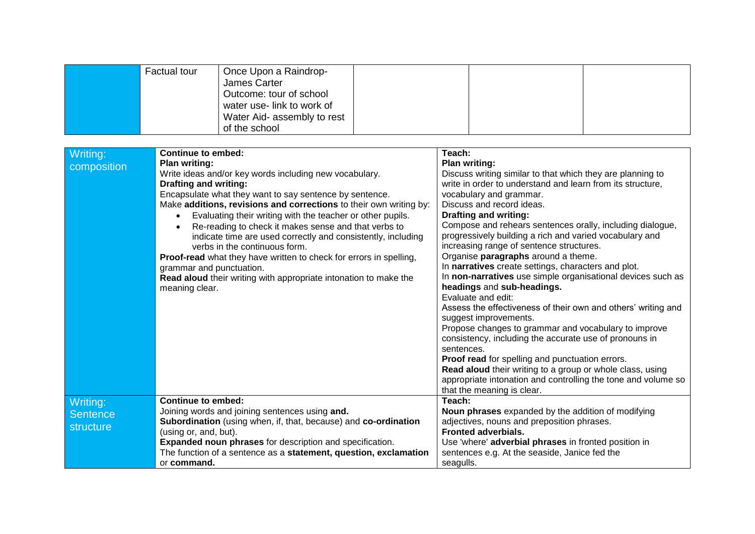|                                          | <b>Factual tour</b>                                                                                                                          | Once Upon a Raindrop-<br>James Carter<br>Outcome: tour of school<br>water use- link to work of<br>Water Aid- assembly to rest<br>of the school                                                                                                                                                                                                                                                                                                                                                                                                           |                                                                                                                                                                                                                                                                                                                                                                                                                                                                                                                                                                                                                                                                                                                                                                                                                                                                                                                                                                                                                                                                           |  |
|------------------------------------------|----------------------------------------------------------------------------------------------------------------------------------------------|----------------------------------------------------------------------------------------------------------------------------------------------------------------------------------------------------------------------------------------------------------------------------------------------------------------------------------------------------------------------------------------------------------------------------------------------------------------------------------------------------------------------------------------------------------|---------------------------------------------------------------------------------------------------------------------------------------------------------------------------------------------------------------------------------------------------------------------------------------------------------------------------------------------------------------------------------------------------------------------------------------------------------------------------------------------------------------------------------------------------------------------------------------------------------------------------------------------------------------------------------------------------------------------------------------------------------------------------------------------------------------------------------------------------------------------------------------------------------------------------------------------------------------------------------------------------------------------------------------------------------------------------|--|
| Writing:<br>composition                  | <b>Continue to embed:</b><br><b>Plan writing:</b><br><b>Drafting and writing:</b><br>$\bullet$<br>grammar and punctuation.<br>meaning clear. | Write ideas and/or key words including new vocabulary.<br>Encapsulate what they want to say sentence by sentence.<br>Make additions, revisions and corrections to their own writing by:<br>Evaluating their writing with the teacher or other pupils.<br>Re-reading to check it makes sense and that verbs to<br>indicate time are used correctly and consistently, including<br>verbs in the continuous form.<br>Proof-read what they have written to check for errors in spelling,<br>Read aloud their writing with appropriate intonation to make the | Teach:<br>Plan writing:<br>Discuss writing similar to that which they are planning to<br>write in order to understand and learn from its structure,<br>vocabulary and grammar.<br>Discuss and record ideas.<br><b>Drafting and writing:</b><br>Compose and rehears sentences orally, including dialogue,<br>progressively building a rich and varied vocabulary and<br>increasing range of sentence structures.<br>Organise paragraphs around a theme.<br>In narratives create settings, characters and plot.<br>In non-narratives use simple organisational devices such as<br>headings and sub-headings.<br>Evaluate and edit:<br>Assess the effectiveness of their own and others' writing and<br>suggest improvements.<br>Propose changes to grammar and vocabulary to improve<br>consistency, including the accurate use of pronouns in<br>sentences.<br>Proof read for spelling and punctuation errors.<br>Read aloud their writing to a group or whole class, using<br>appropriate intonation and controlling the tone and volume so<br>that the meaning is clear. |  |
| Writing:<br><b>Sentence</b><br>structure | <b>Continue to embed:</b><br>(using or, and, but).<br>or command.                                                                            | Joining words and joining sentences using and.<br><b>Subordination</b> (using when, if, that, because) and co-ordination<br><b>Expanded noun phrases for description and specification.</b><br>The function of a sentence as a statement, question, exclamation                                                                                                                                                                                                                                                                                          | Teach:<br>Noun phrases expanded by the addition of modifying<br>adjectives, nouns and preposition phrases.<br><b>Fronted adverbials.</b><br>Use 'where' adverbial phrases in fronted position in<br>sentences e.g. At the seaside, Janice fed the<br>seagulls.                                                                                                                                                                                                                                                                                                                                                                                                                                                                                                                                                                                                                                                                                                                                                                                                            |  |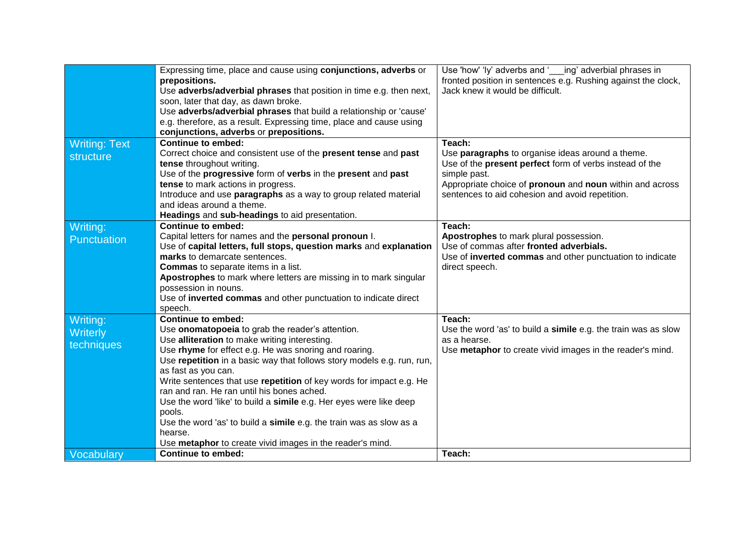|                                   | Expressing time, place and cause using conjunctions, adverbs or<br>prepositions.<br>Use adverbs/adverbial phrases that position in time e.g. then next,<br>soon, later that day, as dawn broke.<br>Use adverbs/adverbial phrases that build a relationship or 'cause'<br>e.g. therefore, as a result. Expressing time, place and cause using<br>conjunctions, adverbs or prepositions. | Use 'how' 'ly' adverbs and ' ing' adverbial phrases in<br>fronted position in sentences e.g. Rushing against the clock,<br>Jack knew it would be difficult. |
|-----------------------------------|----------------------------------------------------------------------------------------------------------------------------------------------------------------------------------------------------------------------------------------------------------------------------------------------------------------------------------------------------------------------------------------|-------------------------------------------------------------------------------------------------------------------------------------------------------------|
| <b>Writing: Text</b><br>structure | <b>Continue to embed:</b><br>Correct choice and consistent use of the present tense and past                                                                                                                                                                                                                                                                                           | Teach:<br>Use paragraphs to organise ideas around a theme.                                                                                                  |
|                                   | tense throughout writing.                                                                                                                                                                                                                                                                                                                                                              | Use of the <b>present perfect</b> form of verbs instead of the                                                                                              |
|                                   | Use of the progressive form of verbs in the present and past                                                                                                                                                                                                                                                                                                                           | simple past.                                                                                                                                                |
|                                   | tense to mark actions in progress.<br>Introduce and use paragraphs as a way to group related material                                                                                                                                                                                                                                                                                  | Appropriate choice of pronoun and noun within and across<br>sentences to aid cohesion and avoid repetition.                                                 |
|                                   | and ideas around a theme.                                                                                                                                                                                                                                                                                                                                                              |                                                                                                                                                             |
|                                   | Headings and sub-headings to aid presentation.                                                                                                                                                                                                                                                                                                                                         |                                                                                                                                                             |
| Writing:                          | <b>Continue to embed:</b>                                                                                                                                                                                                                                                                                                                                                              | Teach:                                                                                                                                                      |
| Punctuation                       | Capital letters for names and the personal pronoun I.                                                                                                                                                                                                                                                                                                                                  | Apostrophes to mark plural possession.                                                                                                                      |
|                                   | Use of capital letters, full stops, question marks and explanation<br>marks to demarcate sentences.                                                                                                                                                                                                                                                                                    | Use of commas after fronted adverbials.<br>Use of inverted commas and other punctuation to indicate                                                         |
|                                   | <b>Commas</b> to separate items in a list.                                                                                                                                                                                                                                                                                                                                             | direct speech.                                                                                                                                              |
|                                   | Apostrophes to mark where letters are missing in to mark singular                                                                                                                                                                                                                                                                                                                      |                                                                                                                                                             |
|                                   | possession in nouns.                                                                                                                                                                                                                                                                                                                                                                   |                                                                                                                                                             |
|                                   | Use of inverted commas and other punctuation to indicate direct                                                                                                                                                                                                                                                                                                                        |                                                                                                                                                             |
| Writing:                          | speech.<br><b>Continue to embed:</b>                                                                                                                                                                                                                                                                                                                                                   | Teach:                                                                                                                                                      |
| Writerly                          | Use onomatopoeia to grab the reader's attention.                                                                                                                                                                                                                                                                                                                                       | Use the word 'as' to build a simile e.g. the train was as slow                                                                                              |
| techniques                        | Use alliteration to make writing interesting.                                                                                                                                                                                                                                                                                                                                          | as a hearse.                                                                                                                                                |
|                                   | Use rhyme for effect e.g. He was snoring and roaring.                                                                                                                                                                                                                                                                                                                                  | Use metaphor to create vivid images in the reader's mind.                                                                                                   |
|                                   | Use repetition in a basic way that follows story models e.g. run, run,                                                                                                                                                                                                                                                                                                                 |                                                                                                                                                             |
|                                   | as fast as you can.<br>Write sentences that use repetition of key words for impact e.g. He                                                                                                                                                                                                                                                                                             |                                                                                                                                                             |
|                                   | ran and ran. He ran until his bones ached.                                                                                                                                                                                                                                                                                                                                             |                                                                                                                                                             |
|                                   | Use the word 'like' to build a simile e.g. Her eyes were like deep                                                                                                                                                                                                                                                                                                                     |                                                                                                                                                             |
|                                   | pools.                                                                                                                                                                                                                                                                                                                                                                                 |                                                                                                                                                             |
|                                   | Use the word 'as' to build a simile e.g. the train was as slow as a                                                                                                                                                                                                                                                                                                                    |                                                                                                                                                             |
|                                   | hearse.<br>Use metaphor to create vivid images in the reader's mind.                                                                                                                                                                                                                                                                                                                   |                                                                                                                                                             |
| Vocabulary                        | <b>Continue to embed:</b>                                                                                                                                                                                                                                                                                                                                                              | Teach:                                                                                                                                                      |
|                                   |                                                                                                                                                                                                                                                                                                                                                                                        |                                                                                                                                                             |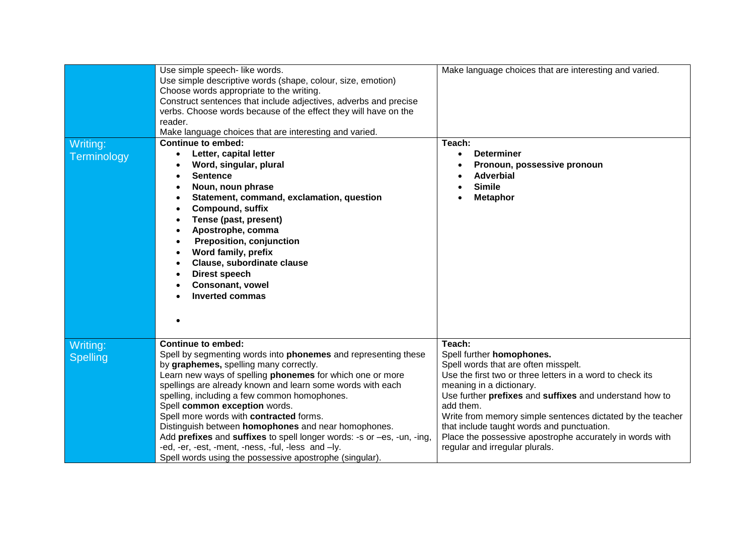| Writing:<br>Terminology     | Use simple speech- like words.<br>Use simple descriptive words (shape, colour, size, emotion)<br>Choose words appropriate to the writing.<br>Construct sentences that include adjectives, adverbs and precise<br>verbs. Choose words because of the effect they will have on the<br>reader.<br>Make language choices that are interesting and varied.<br><b>Continue to embed:</b><br>Letter, capital letter<br>$\bullet$<br>Word, singular, plural<br><b>Sentence</b><br>$\bullet$<br>Noun, noun phrase<br>Statement, command, exclamation, question<br>Compound, suffix<br>Tense (past, present)<br>Apostrophe, comma<br><b>Preposition, conjunction</b><br>Word family, prefix<br>Clause, subordinate clause<br><b>Direst speech</b><br><b>Consonant, vowel</b><br><b>Inverted commas</b> | Make language choices that are interesting and varied.<br>Teach:<br><b>Determiner</b><br>$\bullet$<br>Pronoun, possessive pronoun<br><b>Adverbial</b><br><b>Simile</b><br><b>Metaphor</b>                                                                                                                                                                                                                                                              |
|-----------------------------|----------------------------------------------------------------------------------------------------------------------------------------------------------------------------------------------------------------------------------------------------------------------------------------------------------------------------------------------------------------------------------------------------------------------------------------------------------------------------------------------------------------------------------------------------------------------------------------------------------------------------------------------------------------------------------------------------------------------------------------------------------------------------------------------|--------------------------------------------------------------------------------------------------------------------------------------------------------------------------------------------------------------------------------------------------------------------------------------------------------------------------------------------------------------------------------------------------------------------------------------------------------|
| Writing:<br><b>Spelling</b> | <b>Continue to embed:</b><br>Spell by segmenting words into phonemes and representing these<br>by graphemes, spelling many correctly.<br>Learn new ways of spelling phonemes for which one or more<br>spellings are already known and learn some words with each<br>spelling, including a few common homophones.<br>Spell common exception words.<br>Spell more words with contracted forms.<br>Distinguish between homophones and near homophones.<br>Add prefixes and suffixes to spell longer words: -s or -es, -un, -ing,<br>-ed, -er, -est, -ment, -ness, -ful, -less and -ly.<br>Spell words using the possessive apostrophe (singular).                                                                                                                                               | Teach:<br>Spell further homophones.<br>Spell words that are often misspelt.<br>Use the first two or three letters in a word to check its<br>meaning in a dictionary.<br>Use further prefixes and suffixes and understand how to<br>add them.<br>Write from memory simple sentences dictated by the teacher<br>that include taught words and punctuation.<br>Place the possessive apostrophe accurately in words with<br>regular and irregular plurals. |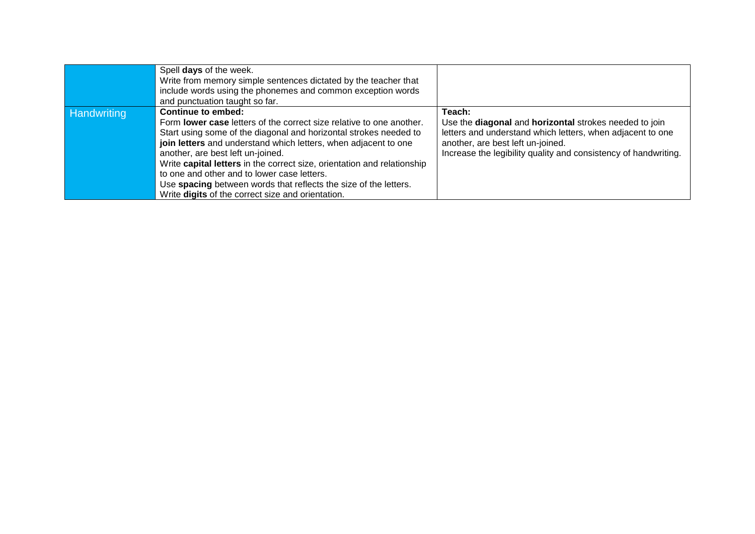|             | Spell days of the week.<br>Write from memory simple sentences dictated by the teacher that<br>include words using the phonemes and common exception words<br>and punctuation taught so far.                                                                                                                                                                                                                                                                                                                                       |                                                                                                                                                                                                                                        |
|-------------|-----------------------------------------------------------------------------------------------------------------------------------------------------------------------------------------------------------------------------------------------------------------------------------------------------------------------------------------------------------------------------------------------------------------------------------------------------------------------------------------------------------------------------------|----------------------------------------------------------------------------------------------------------------------------------------------------------------------------------------------------------------------------------------|
| Handwriting | <b>Continue to embed:</b><br>Form lower case letters of the correct size relative to one another.<br>Start using some of the diagonal and horizontal strokes needed to<br>join letters and understand which letters, when adjacent to one<br>another, are best left un-joined.<br>Write capital letters in the correct size, orientation and relationship<br>to one and other and to lower case letters.<br>Use spacing between words that reflects the size of the letters.<br>Write digits of the correct size and orientation. | Teach:<br>Use the diagonal and horizontal strokes needed to join<br>letters and understand which letters, when adjacent to one<br>another, are best left un-joined.<br>Increase the legibility quality and consistency of handwriting. |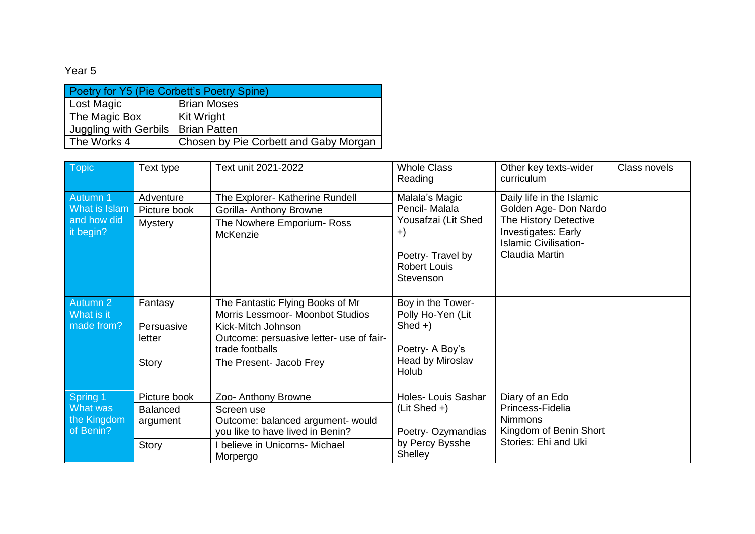| Poetry for Y5 (Pie Corbett's Poetry Spine) |                                       |  |  |
|--------------------------------------------|---------------------------------------|--|--|
| <b>Lost Magic</b>                          | <b>Brian Moses</b>                    |  |  |
| The Magic Box                              | Kit Wright                            |  |  |
| Juggling with Gerbils   Brian Patten       |                                       |  |  |
| The Works 4                                | Chosen by Pie Corbett and Gaby Morgan |  |  |

| Topic                                                 | Text type                                            | Text unit 2021-2022                                                                                                                                                                  | <b>Whole Class</b><br>Reading                                                                                           | Other key texts-wider<br>curriculum                                                                                                                  | Class novels |
|-------------------------------------------------------|------------------------------------------------------|--------------------------------------------------------------------------------------------------------------------------------------------------------------------------------------|-------------------------------------------------------------------------------------------------------------------------|------------------------------------------------------------------------------------------------------------------------------------------------------|--------------|
| Autumn 1<br>What is Islam<br>and how did<br>it begin? | Adventure<br>Picture book<br><b>Mystery</b>          | The Explorer- Katherine Rundell<br>Gorilla- Anthony Browne<br>The Nowhere Emporium- Ross<br><b>McKenzie</b>                                                                          | Malala's Magic<br>Pencil- Malala<br>Yousafzai (Lit Shed<br>$+)$<br>Poetry-Travel by<br><b>Robert Louis</b><br>Stevenson | Daily life in the Islamic<br>Golden Age- Don Nardo<br>The History Detective<br>Investigates: Early<br><b>Islamic Civilisation-</b><br>Claudia Martin |              |
| Autumn 2<br>What is it<br>made from?                  | Fantasy<br>Persuasive<br>letter<br>Story             | The Fantastic Flying Books of Mr<br>Morris Lessmoor- Moonbot Studios<br>Kick-Mitch Johnson<br>Outcome: persuasive letter- use of fair-<br>trade footballs<br>The Present- Jacob Frey | Boy in the Tower-<br>Polly Ho-Yen (Lit<br>Shed $+$ )<br>Poetry- A Boy's<br>Head by Miroslav<br>Holub                    |                                                                                                                                                      |              |
| Spring 1<br>What was<br>the Kingdom<br>of Benin?      | Picture book<br><b>Balanced</b><br>argument<br>Story | Zoo- Anthony Browne<br>Screen use<br>Outcome: balanced argument- would<br>you like to have lived in Benin?<br>believe in Unicorns- Michael<br>Morpergo                               | Holes- Louis Sashar<br>$(Lit Shed +)$<br>Poetry-Ozymandias<br>by Percy Bysshe<br>Shelley                                | Diary of an Edo<br>Princess-Fidelia<br><b>Nimmons</b><br>Kingdom of Benin Short<br>Stories: Ehi and Uki                                              |              |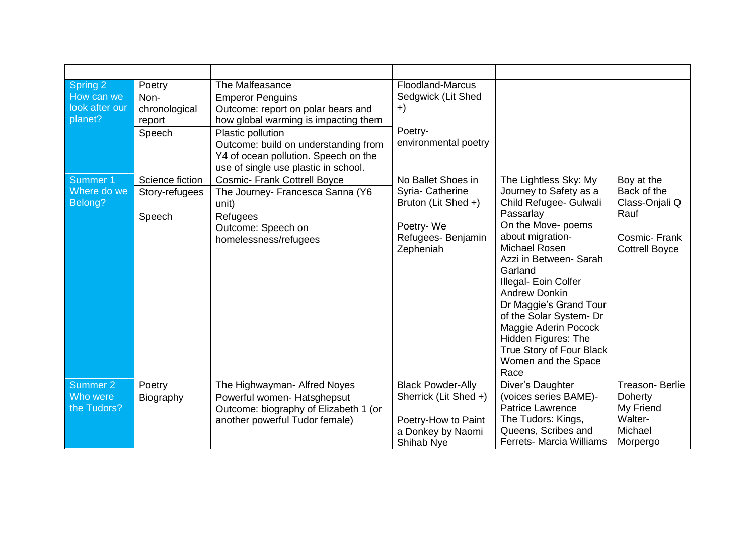| Spring 2<br>How can we<br>look after our<br>planet? | Poetry<br>Non-<br>chronological<br>report<br>Speech | The Malfeasance<br><b>Emperor Penguins</b><br>Outcome: report on polar bears and<br>how global warming is impacting them<br>Plastic pollution<br>Outcome: build on understanding from<br>Y4 of ocean pollution. Speech on the<br>use of single use plastic in school. | <b>Floodland-Marcus</b><br>Sedgwick (Lit Shed<br>$+)$<br>Poetry-<br>environmental poetry                      |                                                                                                                                                                                                                                                                                                                                                                                                              |                                                                                              |
|-----------------------------------------------------|-----------------------------------------------------|-----------------------------------------------------------------------------------------------------------------------------------------------------------------------------------------------------------------------------------------------------------------------|---------------------------------------------------------------------------------------------------------------|--------------------------------------------------------------------------------------------------------------------------------------------------------------------------------------------------------------------------------------------------------------------------------------------------------------------------------------------------------------------------------------------------------------|----------------------------------------------------------------------------------------------|
| Summer 1<br>Where do we<br>Belong?                  | Science fiction<br>Story-refugees<br>Speech         | <b>Cosmic- Frank Cottrell Boyce</b><br>The Journey- Francesca Sanna (Y6<br>unit)<br>Refugees<br>Outcome: Speech on<br>homelessness/refugees                                                                                                                           | No Ballet Shoes in<br>Syria- Catherine<br>Bruton (Lit Shed +)<br>Poetry-We<br>Refugees- Benjamin<br>Zepheniah | The Lightless Sky: My<br>Journey to Safety as a<br>Child Refugee- Gulwali<br>Passarlay<br>On the Move- poems<br>about migration-<br>Michael Rosen<br>Azzi in Between- Sarah<br>Garland<br>Illegal- Eoin Colfer<br><b>Andrew Donkin</b><br>Dr Maggie's Grand Tour<br>of the Solar System- Dr<br>Maggie Aderin Pocock<br><b>Hidden Figures: The</b><br>True Story of Four Black<br>Women and the Space<br>Race | Boy at the<br>Back of the<br>Class-Onjali Q<br>Rauf<br>Cosmic-Frank<br><b>Cottrell Boyce</b> |
| Summer 2<br>Who were<br>the Tudors?                 | Poetry<br>Biography                                 | The Highwayman- Alfred Noyes<br>Powerful women- Hatsghepsut<br>Outcome: biography of Elizabeth 1 (or<br>another powerful Tudor female)                                                                                                                                | <b>Black Powder-Ally</b><br>Sherrick (Lit Shed +)<br>Poetry-How to Paint<br>a Donkey by Naomi<br>Shihab Nye   | Diver's Daughter<br>(voices series BAME)-<br>Patrice Lawrence<br>The Tudors: Kings,<br>Queens, Scribes and<br>Ferrets- Marcia Williams                                                                                                                                                                                                                                                                       | Treason-Berlie<br><b>Doherty</b><br>My Friend<br>Walter-<br>Michael<br>Morpergo              |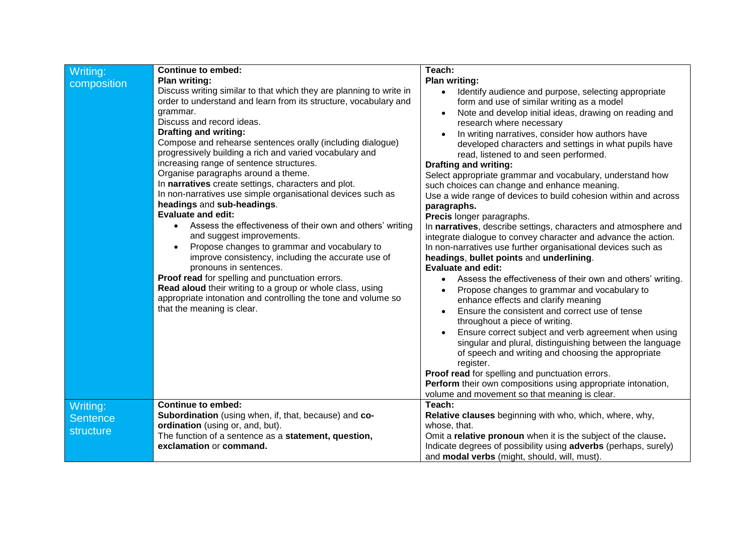| Writing:        | <b>Continue to embed:</b>                                                                                                                                                                                                                                                                                                                                                                                                                                                                                                                                                                                                                                                                                                                                                                                                                                                                                                                                                                                                                                                      | Teach:                                                                                                                                                                                                                                                                                                                                                                                                                                                                                                                                                                                                                                                                                                                                                                                                                                                                                                                                                                                                                                                                                                                                                                                                                                                                                                                                                                                                                                                                                                                            |
|-----------------|--------------------------------------------------------------------------------------------------------------------------------------------------------------------------------------------------------------------------------------------------------------------------------------------------------------------------------------------------------------------------------------------------------------------------------------------------------------------------------------------------------------------------------------------------------------------------------------------------------------------------------------------------------------------------------------------------------------------------------------------------------------------------------------------------------------------------------------------------------------------------------------------------------------------------------------------------------------------------------------------------------------------------------------------------------------------------------|-----------------------------------------------------------------------------------------------------------------------------------------------------------------------------------------------------------------------------------------------------------------------------------------------------------------------------------------------------------------------------------------------------------------------------------------------------------------------------------------------------------------------------------------------------------------------------------------------------------------------------------------------------------------------------------------------------------------------------------------------------------------------------------------------------------------------------------------------------------------------------------------------------------------------------------------------------------------------------------------------------------------------------------------------------------------------------------------------------------------------------------------------------------------------------------------------------------------------------------------------------------------------------------------------------------------------------------------------------------------------------------------------------------------------------------------------------------------------------------------------------------------------------------|
|                 |                                                                                                                                                                                                                                                                                                                                                                                                                                                                                                                                                                                                                                                                                                                                                                                                                                                                                                                                                                                                                                                                                |                                                                                                                                                                                                                                                                                                                                                                                                                                                                                                                                                                                                                                                                                                                                                                                                                                                                                                                                                                                                                                                                                                                                                                                                                                                                                                                                                                                                                                                                                                                                   |
| composition     | <b>Plan writing:</b><br>Discuss writing similar to that which they are planning to write in<br>order to understand and learn from its structure, vocabulary and<br>grammar.<br>Discuss and record ideas.<br><b>Drafting and writing:</b><br>Compose and rehearse sentences orally (including dialogue)<br>progressively building a rich and varied vocabulary and<br>increasing range of sentence structures.<br>Organise paragraphs around a theme.<br>In narratives create settings, characters and plot.<br>In non-narratives use simple organisational devices such as<br>headings and sub-headings.<br><b>Evaluate and edit:</b><br>Assess the effectiveness of their own and others' writing<br>and suggest improvements.<br>Propose changes to grammar and vocabulary to<br>improve consistency, including the accurate use of<br>pronouns in sentences.<br>Proof read for spelling and punctuation errors.<br>Read aloud their writing to a group or whole class, using<br>appropriate intonation and controlling the tone and volume so<br>that the meaning is clear. | <b>Plan writing:</b><br>Identify audience and purpose, selecting appropriate<br>$\bullet$<br>form and use of similar writing as a model<br>Note and develop initial ideas, drawing on reading and<br>research where necessary<br>In writing narratives, consider how authors have<br>developed characters and settings in what pupils have<br>read, listened to and seen performed.<br><b>Drafting and writing:</b><br>Select appropriate grammar and vocabulary, understand how<br>such choices can change and enhance meaning.<br>Use a wide range of devices to build cohesion within and across<br>paragraphs.<br>Precis longer paragraphs.<br>In narratives, describe settings, characters and atmosphere and<br>integrate dialogue to convey character and advance the action.<br>In non-narratives use further organisational devices such as<br>headings, bullet points and underlining.<br><b>Evaluate and edit:</b><br>Assess the effectiveness of their own and others' writing.<br>Propose changes to grammar and vocabulary to<br>enhance effects and clarify meaning<br>Ensure the consistent and correct use of tense<br>throughout a piece of writing.<br>Ensure correct subject and verb agreement when using<br>singular and plural, distinguishing between the language<br>of speech and writing and choosing the appropriate<br>register.<br>Proof read for spelling and punctuation errors.<br>Perform their own compositions using appropriate intonation,<br>volume and movement so that meaning is clear. |
| Writing:        | <b>Continue to embed:</b>                                                                                                                                                                                                                                                                                                                                                                                                                                                                                                                                                                                                                                                                                                                                                                                                                                                                                                                                                                                                                                                      | Teach:                                                                                                                                                                                                                                                                                                                                                                                                                                                                                                                                                                                                                                                                                                                                                                                                                                                                                                                                                                                                                                                                                                                                                                                                                                                                                                                                                                                                                                                                                                                            |
|                 | Subordination (using when, if, that, because) and co-                                                                                                                                                                                                                                                                                                                                                                                                                                                                                                                                                                                                                                                                                                                                                                                                                                                                                                                                                                                                                          | Relative clauses beginning with who, which, where, why,                                                                                                                                                                                                                                                                                                                                                                                                                                                                                                                                                                                                                                                                                                                                                                                                                                                                                                                                                                                                                                                                                                                                                                                                                                                                                                                                                                                                                                                                           |
| <b>Sentence</b> | ordination (using or, and, but).                                                                                                                                                                                                                                                                                                                                                                                                                                                                                                                                                                                                                                                                                                                                                                                                                                                                                                                                                                                                                                               | whose, that.                                                                                                                                                                                                                                                                                                                                                                                                                                                                                                                                                                                                                                                                                                                                                                                                                                                                                                                                                                                                                                                                                                                                                                                                                                                                                                                                                                                                                                                                                                                      |
| structure       | The function of a sentence as a statement, question,                                                                                                                                                                                                                                                                                                                                                                                                                                                                                                                                                                                                                                                                                                                                                                                                                                                                                                                                                                                                                           | Omit a relative pronoun when it is the subject of the clause.                                                                                                                                                                                                                                                                                                                                                                                                                                                                                                                                                                                                                                                                                                                                                                                                                                                                                                                                                                                                                                                                                                                                                                                                                                                                                                                                                                                                                                                                     |
|                 | exclamation or command.                                                                                                                                                                                                                                                                                                                                                                                                                                                                                                                                                                                                                                                                                                                                                                                                                                                                                                                                                                                                                                                        | Indicate degrees of possibility using adverbs (perhaps, surely)                                                                                                                                                                                                                                                                                                                                                                                                                                                                                                                                                                                                                                                                                                                                                                                                                                                                                                                                                                                                                                                                                                                                                                                                                                                                                                                                                                                                                                                                   |
|                 |                                                                                                                                                                                                                                                                                                                                                                                                                                                                                                                                                                                                                                                                                                                                                                                                                                                                                                                                                                                                                                                                                | and modal verbs (might, should, will, must).                                                                                                                                                                                                                                                                                                                                                                                                                                                                                                                                                                                                                                                                                                                                                                                                                                                                                                                                                                                                                                                                                                                                                                                                                                                                                                                                                                                                                                                                                      |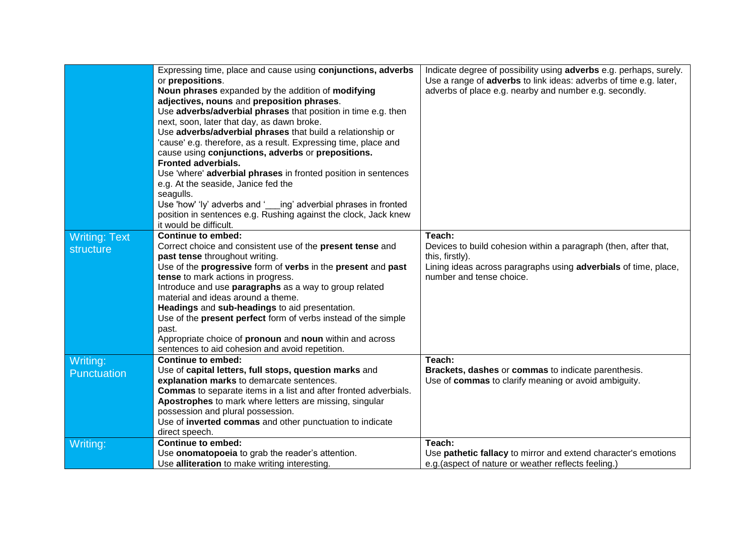|                      | Expressing time, place and cause using conjunctions, adverbs<br>or prepositions.              | Indicate degree of possibility using adverbs e.g. perhaps, surely.<br>Use a range of <b>adverbs</b> to link ideas: adverbs of time e.g. later, |
|----------------------|-----------------------------------------------------------------------------------------------|------------------------------------------------------------------------------------------------------------------------------------------------|
|                      | Noun phrases expanded by the addition of modifying                                            | adverbs of place e.g. nearby and number e.g. secondly.                                                                                         |
|                      | adjectives, nouns and preposition phrases.                                                    |                                                                                                                                                |
|                      | Use adverbs/adverbial phrases that position in time e.g. then                                 |                                                                                                                                                |
|                      | next, soon, later that day, as dawn broke.                                                    |                                                                                                                                                |
|                      | Use adverbs/adverbial phrases that build a relationship or                                    |                                                                                                                                                |
|                      | 'cause' e.g. therefore, as a result. Expressing time, place and                               |                                                                                                                                                |
|                      | cause using conjunctions, adverbs or prepositions.                                            |                                                                                                                                                |
|                      | <b>Fronted adverbials.</b>                                                                    |                                                                                                                                                |
|                      | Use 'where' adverbial phrases in fronted position in sentences                                |                                                                                                                                                |
|                      | e.g. At the seaside, Janice fed the                                                           |                                                                                                                                                |
|                      | seagulls.                                                                                     |                                                                                                                                                |
|                      | Use 'how' 'ly' adverbs and '___ing' adverbial phrases in fronted                              |                                                                                                                                                |
|                      | position in sentences e.g. Rushing against the clock, Jack knew<br>it would be difficult.     |                                                                                                                                                |
|                      | <b>Continue to embed:</b>                                                                     | Teach:                                                                                                                                         |
| <b>Writing: Text</b> | Correct choice and consistent use of the present tense and                                    | Devices to build cohesion within a paragraph (then, after that,                                                                                |
| structure            | past tense throughout writing.                                                                | this, firstly).                                                                                                                                |
|                      | Use of the progressive form of verbs in the present and past                                  | Lining ideas across paragraphs using adverbials of time, place,                                                                                |
|                      | tense to mark actions in progress.                                                            | number and tense choice.                                                                                                                       |
|                      | Introduce and use paragraphs as a way to group related                                        |                                                                                                                                                |
|                      | material and ideas around a theme.                                                            |                                                                                                                                                |
|                      | Headings and sub-headings to aid presentation.                                                |                                                                                                                                                |
|                      | Use of the present perfect form of verbs instead of the simple                                |                                                                                                                                                |
|                      | past.                                                                                         |                                                                                                                                                |
|                      | Appropriate choice of pronoun and noun within and across                                      |                                                                                                                                                |
|                      | sentences to aid cohesion and avoid repetition.                                               |                                                                                                                                                |
| Writing:             | Continue to embed:                                                                            | Teach:                                                                                                                                         |
| Punctuation          | Use of capital letters, full stops, question marks and                                        | Brackets, dashes or commas to indicate parenthesis.                                                                                            |
|                      | explanation marks to demarcate sentences.                                                     | Use of commas to clarify meaning or avoid ambiguity.                                                                                           |
|                      | Commas to separate items in a list and after fronted adverbials.                              |                                                                                                                                                |
|                      | Apostrophes to mark where letters are missing, singular                                       |                                                                                                                                                |
|                      | possession and plural possession.<br>Use of inverted commas and other punctuation to indicate |                                                                                                                                                |
|                      | direct speech.                                                                                |                                                                                                                                                |
| Writing:             | <b>Continue to embed:</b>                                                                     | Teach:                                                                                                                                         |
|                      | Use onomatopoeia to grab the reader's attention.                                              | Use pathetic fallacy to mirror and extend character's emotions                                                                                 |
|                      | Use alliteration to make writing interesting.                                                 | e.g. (aspect of nature or weather reflects feeling.)                                                                                           |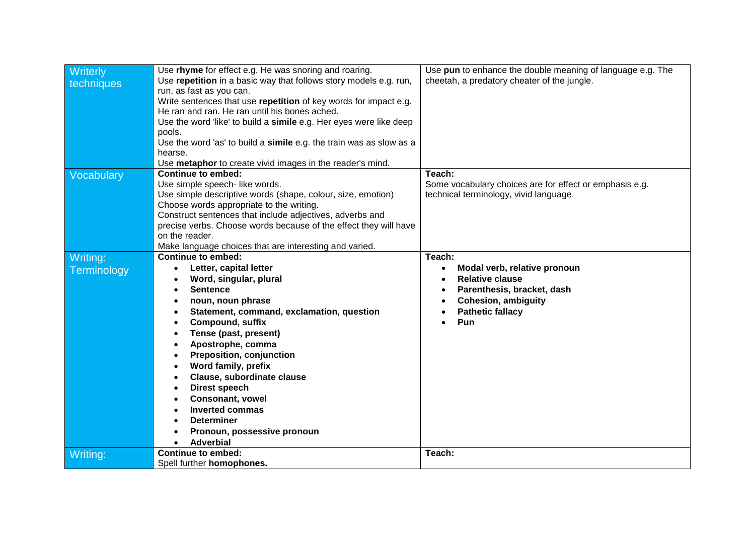| Writerly    | Use rhyme for effect e.g. He was snoring and roaring.               | Use pun to enhance the double meaning of language e.g. The |
|-------------|---------------------------------------------------------------------|------------------------------------------------------------|
| techniques  | Use repetition in a basic way that follows story models e.g. run,   | cheetah, a predatory cheater of the jungle.                |
|             | run, as fast as you can.                                            |                                                            |
|             | Write sentences that use repetition of key words for impact e.g.    |                                                            |
|             | He ran and ran. He ran until his bones ached.                       |                                                            |
|             | Use the word 'like' to build a simile e.g. Her eyes were like deep  |                                                            |
|             | pools.                                                              |                                                            |
|             | Use the word 'as' to build a simile e.g. the train was as slow as a |                                                            |
|             | hearse.                                                             |                                                            |
|             | Use metaphor to create vivid images in the reader's mind.           |                                                            |
| Vocabulary  | <b>Continue to embed:</b>                                           | Teach:                                                     |
|             | Use simple speech- like words.                                      | Some vocabulary choices are for effect or emphasis e.g.    |
|             | Use simple descriptive words (shape, colour, size, emotion)         | technical terminology, vivid language.                     |
|             | Choose words appropriate to the writing.                            |                                                            |
|             | Construct sentences that include adjectives, adverbs and            |                                                            |
|             | precise verbs. Choose words because of the effect they will have    |                                                            |
|             | on the reader.                                                      |                                                            |
|             | Make language choices that are interesting and varied.              |                                                            |
| Writing:    | <b>Continue to embed:</b>                                           | Teach:                                                     |
| Terminology | Letter, capital letter<br>$\bullet$                                 | Modal verb, relative pronoun<br>$\bullet$                  |
|             | Word, singular, plural                                              | <b>Relative clause</b>                                     |
|             | <b>Sentence</b>                                                     | Parenthesis, bracket, dash                                 |
|             | noun, noun phrase                                                   | <b>Cohesion, ambiguity</b>                                 |
|             | Statement, command, exclamation, question                           | <b>Pathetic fallacy</b>                                    |
|             | <b>Compound, suffix</b><br>$\bullet$                                | Pun                                                        |
|             | Tense (past, present)                                               |                                                            |
|             | Apostrophe, comma                                                   |                                                            |
|             | <b>Preposition, conjunction</b>                                     |                                                            |
|             | Word family, prefix                                                 |                                                            |
|             | Clause, subordinate clause<br>$\bullet$                             |                                                            |
|             | Direst speech                                                       |                                                            |
|             | <b>Consonant, vowel</b>                                             |                                                            |
|             | <b>Inverted commas</b>                                              |                                                            |
|             | <b>Determiner</b>                                                   |                                                            |
|             | Pronoun, possessive pronoun                                         |                                                            |
|             |                                                                     |                                                            |
|             |                                                                     |                                                            |
| Writing:    | <b>Adverbial</b><br><b>Continue to embed:</b>                       | Teach:                                                     |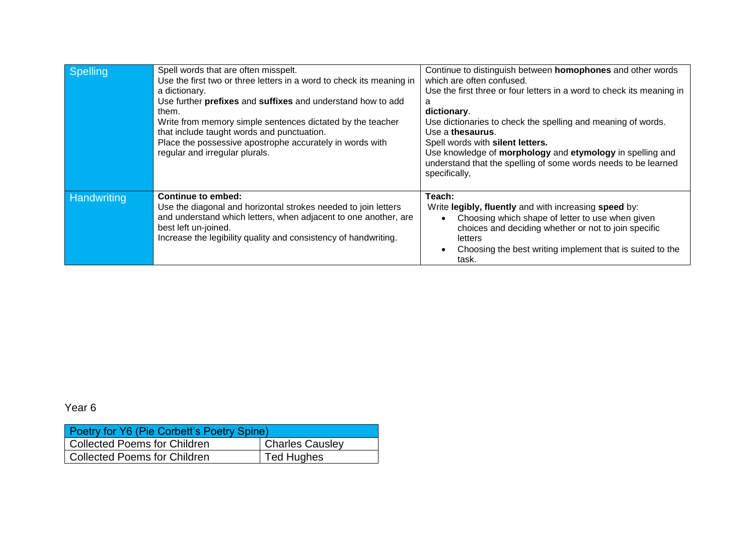| Spelling           | Spell words that are often misspelt.<br>Use the first two or three letters in a word to check its meaning in<br>a dictionary.<br>Use further prefixes and suffixes and understand how to add<br>them.<br>Write from memory simple sentences dictated by the teacher<br>that include taught words and punctuation.<br>Place the possessive apostrophe accurately in words with<br>regular and irregular plurals. | Continue to distinguish between homophones and other words<br>which are often confused.<br>Use the first three or four letters in a word to check its meaning in<br>Я<br>dictionary.<br>Use dictionaries to check the spelling and meaning of words.<br>Use a thesaurus.<br>Spell words with silent letters.<br>Use knowledge of morphology and etymology in spelling and<br>understand that the spelling of some words needs to be learned<br>specifically, |
|--------------------|-----------------------------------------------------------------------------------------------------------------------------------------------------------------------------------------------------------------------------------------------------------------------------------------------------------------------------------------------------------------------------------------------------------------|--------------------------------------------------------------------------------------------------------------------------------------------------------------------------------------------------------------------------------------------------------------------------------------------------------------------------------------------------------------------------------------------------------------------------------------------------------------|
| <b>Handwriting</b> | <b>Continue to embed:</b><br>Use the diagonal and horizontal strokes needed to join letters<br>and understand which letters, when adjacent to one another, are<br>best left un-joined.<br>Increase the legibility quality and consistency of handwriting.                                                                                                                                                       | Teach:<br>Write legibly, fluently and with increasing speed by:<br>Choosing which shape of letter to use when given<br>choices and deciding whether or not to join specific<br>letters<br>Choosing the best writing implement that is suited to the<br>task.                                                                                                                                                                                                 |

| Poetry for Y6 (Pie Corbett's Poetry Spine)             |  |  |  |  |
|--------------------------------------------------------|--|--|--|--|
| Collected Poems for Children<br><b>Charles Causley</b> |  |  |  |  |
| Collected Poems for Children<br><b>Ted Hughes</b>      |  |  |  |  |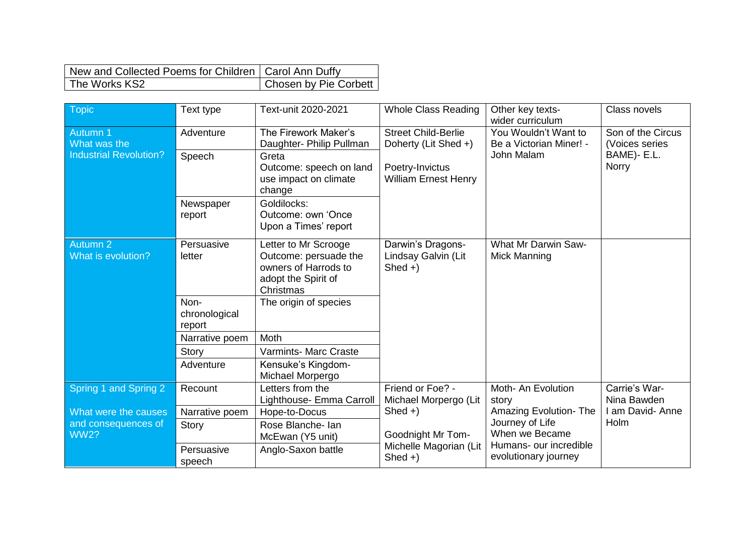| New and Collected Poems for Children   Carol Ann Duffy |                       |
|--------------------------------------------------------|-----------------------|
| The Works KS2                                          | Chosen by Pie Corbett |

| Topic                              | Text type                       | Text-unit 2020-2021                                                                                       | <b>Whole Class Reading</b>                           | Other key texts-<br>wider curriculum              | Class novels                        |
|------------------------------------|---------------------------------|-----------------------------------------------------------------------------------------------------------|------------------------------------------------------|---------------------------------------------------|-------------------------------------|
| Autumn 1<br>What was the           | Adventure                       | The Firework Maker's<br>Daughter- Philip Pullman                                                          | <b>Street Child-Berlie</b><br>Doherty (Lit Shed +)   | You Wouldn't Want to<br>Be a Victorian Miner! -   | Son of the Circus<br>(Voices series |
| <b>Industrial Revolution?</b>      | Speech                          | Greta<br>Outcome: speech on land<br>use impact on climate<br>change                                       | Poetry-Invictus<br><b>William Ernest Henry</b>       | John Malam                                        | BAME)- E.L.<br>Norry                |
|                                    | Newspaper<br>report             | Goldilocks:<br>Outcome: own 'Once<br>Upon a Times' report                                                 |                                                      |                                                   |                                     |
| Autumn 2<br>What is evolution?     | Persuasive<br>letter            | Letter to Mr Scrooge<br>Outcome: persuade the<br>owners of Harrods to<br>adopt the Spirit of<br>Christmas | Darwin's Dragons-<br>Lindsay Galvin (Lit<br>$Shed +$ | <b>What Mr Darwin Saw-</b><br><b>Mick Manning</b> |                                     |
|                                    | Non-<br>chronological<br>report | The origin of species                                                                                     |                                                      |                                                   |                                     |
|                                    | Narrative poem                  | <b>Moth</b>                                                                                               |                                                      |                                                   |                                     |
|                                    | Story                           | <b>Varmints- Marc Craste</b>                                                                              |                                                      |                                                   |                                     |
|                                    | Adventure                       | Kensuke's Kingdom-<br>Michael Morpergo                                                                    |                                                      |                                                   |                                     |
| Spring 1 and Spring 2              | Recount                         | Letters from the<br>Lighthouse- Emma Carroll                                                              | Friend or Foe? -<br>Michael Morpergo (Lit            | Moth- An Evolution<br>story                       | Carrie's War-<br>Nina Bawden        |
| What were the causes               | Narrative poem                  | Hope-to-Docus                                                                                             | $Shed +$                                             | <b>Amazing Evolution-The</b>                      | I am David-Anne                     |
| and consequences of<br><b>WW2?</b> | Story                           | Rose Blanche- Ian<br>McEwan (Y5 unit)                                                                     | Goodnight Mr Tom-                                    | Journey of Life<br>When we Became                 | Holm                                |
|                                    | Persuasive<br>speech            | Anglo-Saxon battle                                                                                        | Michelle Magorian (Lit<br>$Shed +)$                  | Humans- our incredible<br>evolutionary journey    |                                     |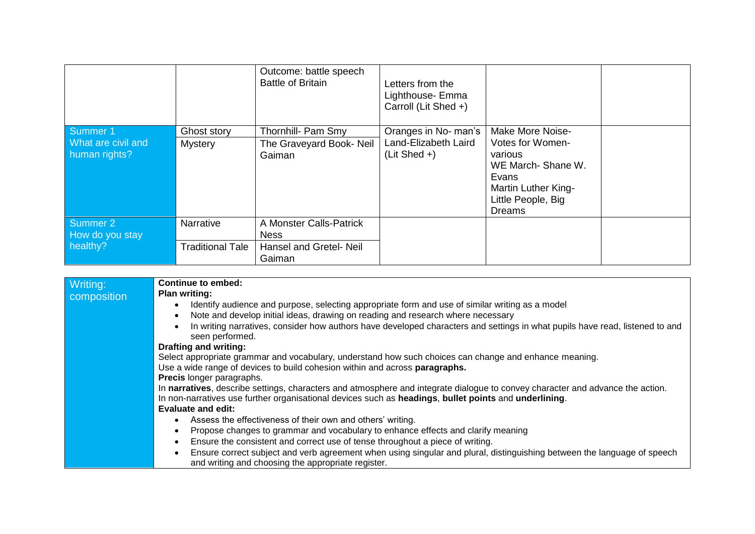|                                     |                         | Outcome: battle speech<br><b>Battle of Britain</b> | Letters from the<br>Lighthouse- Emma<br>Carroll (Lit Shed +) |                                                                                                                  |  |
|-------------------------------------|-------------------------|----------------------------------------------------|--------------------------------------------------------------|------------------------------------------------------------------------------------------------------------------|--|
| Summer 1                            | Ghost story             | Thornhill- Pam Smy                                 | Oranges in No- man's                                         | <b>Make More Noise-</b>                                                                                          |  |
| What are civil and<br>human rights? | <b>Mystery</b>          | The Graveyard Book- Neil<br>Gaiman                 | Land-Elizabeth Laird<br>$(Lit Shed +)$                       | Votes for Women-<br>various<br>WE March-Shane W.<br>Evans<br>Martin Luther King-<br>Little People, Big<br>Dreams |  |
| Summer 2<br>How do you stay         | Narrative               | A Monster Calls-Patrick<br><b>Ness</b>             |                                                              |                                                                                                                  |  |
| healthy?                            | <b>Traditional Tale</b> | Hansel and Gretel- Neil<br>Gaiman                  |                                                              |                                                                                                                  |  |

| Writing:    | <b>Continue to embed:</b>                                                                                                            |  |  |  |
|-------------|--------------------------------------------------------------------------------------------------------------------------------------|--|--|--|
|             |                                                                                                                                      |  |  |  |
| composition | <b>Plan writing:</b>                                                                                                                 |  |  |  |
|             | Identify audience and purpose, selecting appropriate form and use of similar writing as a model<br>$\bullet$                         |  |  |  |
|             | Note and develop initial ideas, drawing on reading and research where necessary<br>$\bullet$                                         |  |  |  |
|             | In writing narratives, consider how authors have developed characters and settings in what pupils have read, listened to and         |  |  |  |
|             | seen performed.                                                                                                                      |  |  |  |
|             | Drafting and writing:                                                                                                                |  |  |  |
|             | Select appropriate grammar and vocabulary, understand how such choices can change and enhance meaning.                               |  |  |  |
|             | Use a wide range of devices to build cohesion within and across paragraphs.                                                          |  |  |  |
|             | Precis longer paragraphs.                                                                                                            |  |  |  |
|             | In narratives, describe settings, characters and atmosphere and integrate dialogue to convey character and advance the action.       |  |  |  |
|             | In non-narratives use further organisational devices such as headings, bullet points and underlining.                                |  |  |  |
|             | <b>Evaluate and edit:</b>                                                                                                            |  |  |  |
|             | Assess the effectiveness of their own and others' writing.                                                                           |  |  |  |
|             | Propose changes to grammar and vocabulary to enhance effects and clarify meaning                                                     |  |  |  |
|             | Ensure the consistent and correct use of tense throughout a piece of writing.<br>$\bullet$                                           |  |  |  |
|             | Ensure correct subject and verb agreement when using singular and plural, distinguishing between the language of speech<br>$\bullet$ |  |  |  |
|             | and writing and choosing the appropriate register.                                                                                   |  |  |  |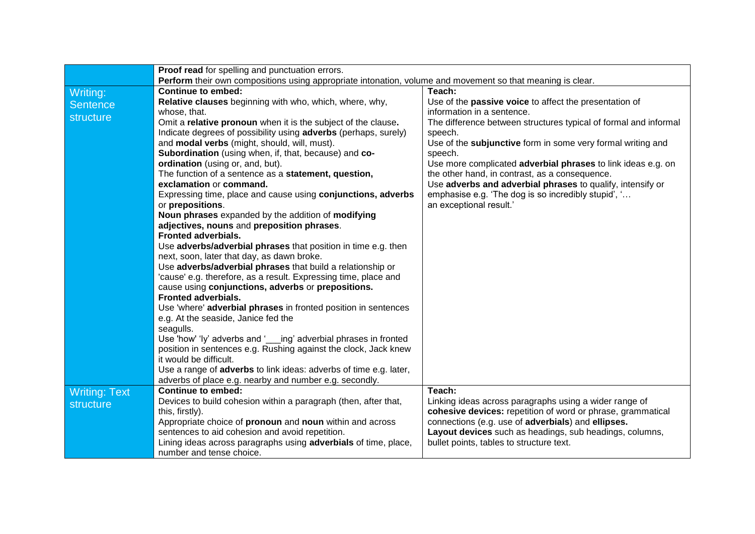|                      | Proof read for spelling and punctuation errors.                                                                             |                                                                                                                       |  |  |  |  |
|----------------------|-----------------------------------------------------------------------------------------------------------------------------|-----------------------------------------------------------------------------------------------------------------------|--|--|--|--|
|                      | Perform their own compositions using appropriate intonation, volume and movement so that meaning is clear.                  |                                                                                                                       |  |  |  |  |
| Writing:             | <b>Continue to embed:</b>                                                                                                   | Teach:                                                                                                                |  |  |  |  |
| <b>Sentence</b>      | Relative clauses beginning with who, which, where, why,                                                                     | Use of the <b>passive voice</b> to affect the presentation of                                                         |  |  |  |  |
| structure            | whose, that.                                                                                                                | information in a sentence.                                                                                            |  |  |  |  |
|                      | Omit a relative pronoun when it is the subject of the clause.                                                               | The difference between structures typical of formal and informal                                                      |  |  |  |  |
|                      | Indicate degrees of possibility using adverbs (perhaps, surely)                                                             | speech.                                                                                                               |  |  |  |  |
|                      | and <b>modal verbs</b> (might, should, will, must).                                                                         | Use of the subjunctive form in some very formal writing and                                                           |  |  |  |  |
|                      | Subordination (using when, if, that, because) and co-                                                                       | speech.                                                                                                               |  |  |  |  |
|                      | ordination (using or, and, but).                                                                                            | Use more complicated adverbial phrases to link ideas e.g. on                                                          |  |  |  |  |
|                      | The function of a sentence as a statement, question,                                                                        | the other hand, in contrast, as a consequence.                                                                        |  |  |  |  |
|                      | exclamation or command.                                                                                                     | Use adverbs and adverbial phrases to qualify, intensify or                                                            |  |  |  |  |
|                      | Expressing time, place and cause using conjunctions, adverbs                                                                | emphasise e.g. 'The dog is so incredibly stupid', '                                                                   |  |  |  |  |
|                      | or prepositions.                                                                                                            | an exceptional result.'                                                                                               |  |  |  |  |
|                      | Noun phrases expanded by the addition of modifying                                                                          |                                                                                                                       |  |  |  |  |
|                      | adjectives, nouns and preposition phrases.                                                                                  |                                                                                                                       |  |  |  |  |
|                      | <b>Fronted adverbials.</b>                                                                                                  |                                                                                                                       |  |  |  |  |
|                      | Use adverbs/adverbial phrases that position in time e.g. then                                                               |                                                                                                                       |  |  |  |  |
|                      | next, soon, later that day, as dawn broke.                                                                                  |                                                                                                                       |  |  |  |  |
|                      | Use adverbs/adverbial phrases that build a relationship or                                                                  |                                                                                                                       |  |  |  |  |
|                      | 'cause' e.g. therefore, as a result. Expressing time, place and                                                             |                                                                                                                       |  |  |  |  |
|                      | cause using conjunctions, adverbs or prepositions.                                                                          |                                                                                                                       |  |  |  |  |
|                      | <b>Fronted adverbials.</b>                                                                                                  |                                                                                                                       |  |  |  |  |
|                      | Use 'where' adverbial phrases in fronted position in sentences                                                              |                                                                                                                       |  |  |  |  |
|                      | e.g. At the seaside, Janice fed the                                                                                         |                                                                                                                       |  |  |  |  |
|                      | seagulls.                                                                                                                   |                                                                                                                       |  |  |  |  |
|                      | Use 'how' 'ly' adverbs and ' ing' adverbial phrases in fronted                                                              |                                                                                                                       |  |  |  |  |
|                      | position in sentences e.g. Rushing against the clock, Jack knew<br>it would be difficult.                                   |                                                                                                                       |  |  |  |  |
|                      |                                                                                                                             |                                                                                                                       |  |  |  |  |
|                      | Use a range of adverbs to link ideas: adverbs of time e.g. later,<br>adverbs of place e.g. nearby and number e.g. secondly. |                                                                                                                       |  |  |  |  |
|                      | <b>Continue to embed:</b>                                                                                                   | Teach:                                                                                                                |  |  |  |  |
| <b>Writing: Text</b> |                                                                                                                             |                                                                                                                       |  |  |  |  |
| structure            | Devices to build cohesion within a paragraph (then, after that,<br>this, firstly).                                          | Linking ideas across paragraphs using a wider range of<br>cohesive devices: repetition of word or phrase, grammatical |  |  |  |  |
|                      | Appropriate choice of pronoun and noun within and across                                                                    | connections (e.g. use of adverbials) and ellipses.                                                                    |  |  |  |  |
|                      | sentences to aid cohesion and avoid repetition.                                                                             | Layout devices such as headings, sub headings, columns,                                                               |  |  |  |  |
|                      | Lining ideas across paragraphs using <b>adverbials</b> of time, place,                                                      | bullet points, tables to structure text.                                                                              |  |  |  |  |
|                      | number and tense choice.                                                                                                    |                                                                                                                       |  |  |  |  |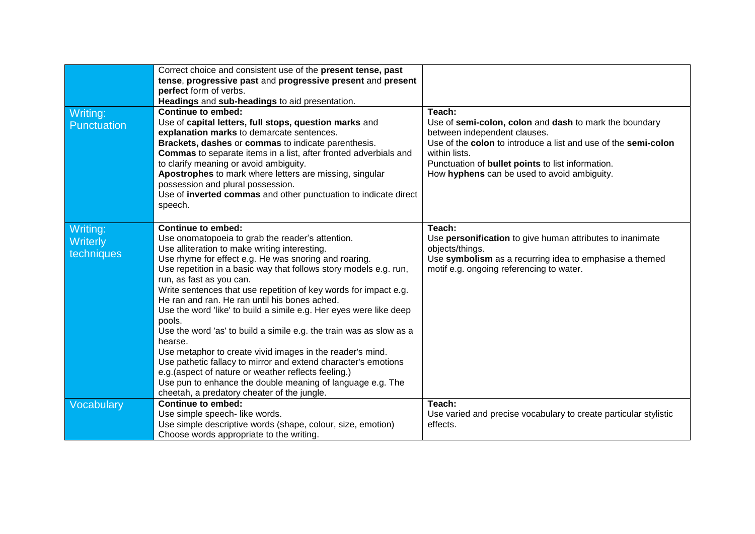| Writing:<br>Punctuation            | Correct choice and consistent use of the present tense, past<br>tense, progressive past and progressive present and present<br>perfect form of verbs.<br>Headings and sub-headings to aid presentation.<br><b>Continue to embed:</b><br>Use of capital letters, full stops, question marks and<br>explanation marks to demarcate sentences.<br>Brackets, dashes or commas to indicate parenthesis.<br><b>Commas</b> to separate items in a list, after fronted adverbials and<br>to clarify meaning or avoid ambiguity.<br>Apostrophes to mark where letters are missing, singular<br>possession and plural possession.<br>Use of inverted commas and other punctuation to indicate direct<br>speech.                                                                                                                                                                               | Teach:<br>Use of semi-colon, colon and dash to mark the boundary<br>between independent clauses.<br>Use of the colon to introduce a list and use of the semi-colon<br>within lists.<br>Punctuation of <b>bullet points</b> to list information.<br>How hyphens can be used to avoid ambiguity. |
|------------------------------------|-------------------------------------------------------------------------------------------------------------------------------------------------------------------------------------------------------------------------------------------------------------------------------------------------------------------------------------------------------------------------------------------------------------------------------------------------------------------------------------------------------------------------------------------------------------------------------------------------------------------------------------------------------------------------------------------------------------------------------------------------------------------------------------------------------------------------------------------------------------------------------------|------------------------------------------------------------------------------------------------------------------------------------------------------------------------------------------------------------------------------------------------------------------------------------------------|
| Writing:<br>Writerly<br>techniques | <b>Continue to embed:</b><br>Use onomatopoeia to grab the reader's attention.<br>Use alliteration to make writing interesting.<br>Use rhyme for effect e.g. He was snoring and roaring.<br>Use repetition in a basic way that follows story models e.g. run,<br>run, as fast as you can.<br>Write sentences that use repetition of key words for impact e.g.<br>He ran and ran. He ran until his bones ached.<br>Use the word 'like' to build a simile e.g. Her eyes were like deep<br>pools.<br>Use the word 'as' to build a simile e.g. the train was as slow as a<br>hearse.<br>Use metaphor to create vivid images in the reader's mind.<br>Use pathetic fallacy to mirror and extend character's emotions<br>e.g. (aspect of nature or weather reflects feeling.)<br>Use pun to enhance the double meaning of language e.g. The<br>cheetah, a predatory cheater of the jungle. | Teach:<br>Use personification to give human attributes to inanimate<br>objects/things.<br>Use symbolism as a recurring idea to emphasise a themed<br>motif e.g. ongoing referencing to water.                                                                                                  |
| Vocabulary                         | <b>Continue to embed:</b><br>Use simple speech- like words.<br>Use simple descriptive words (shape, colour, size, emotion)<br>Choose words appropriate to the writing.                                                                                                                                                                                                                                                                                                                                                                                                                                                                                                                                                                                                                                                                                                              | Teach:<br>Use varied and precise vocabulary to create particular stylistic<br>effects.                                                                                                                                                                                                         |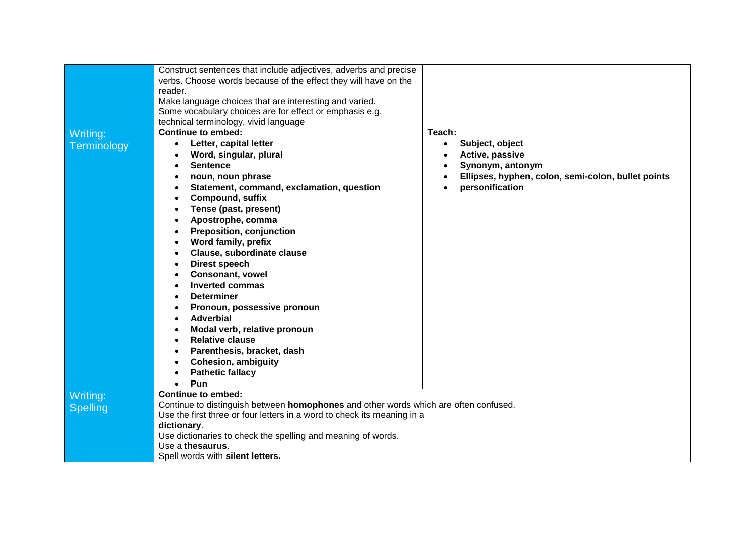|                 | Construct sentences that include adjectives, adverbs and precise                     |                                                    |  |  |  |
|-----------------|--------------------------------------------------------------------------------------|----------------------------------------------------|--|--|--|
|                 | verbs. Choose words because of the effect they will have on the                      |                                                    |  |  |  |
|                 | reader.                                                                              |                                                    |  |  |  |
|                 | Make language choices that are interesting and varied.                               |                                                    |  |  |  |
|                 | Some vocabulary choices are for effect or emphasis e.g.                              |                                                    |  |  |  |
|                 | technical terminology, vivid language                                                |                                                    |  |  |  |
| Writing:        | Continue to embed:                                                                   | Teach:                                             |  |  |  |
| Terminology     | Letter, capital letter                                                               | Subject, object<br>$\bullet$                       |  |  |  |
|                 | Word, singular, plural                                                               | Active, passive                                    |  |  |  |
|                 | <b>Sentence</b>                                                                      | Synonym, antonym                                   |  |  |  |
|                 | noun, noun phrase                                                                    | Ellipses, hyphen, colon, semi-colon, bullet points |  |  |  |
|                 | Statement, command, exclamation, question                                            | personification                                    |  |  |  |
|                 | <b>Compound, suffix</b>                                                              |                                                    |  |  |  |
|                 | Tense (past, present)                                                                |                                                    |  |  |  |
|                 | Apostrophe, comma                                                                    |                                                    |  |  |  |
|                 | <b>Preposition, conjunction</b>                                                      |                                                    |  |  |  |
|                 | Word family, prefix                                                                  |                                                    |  |  |  |
|                 | Clause, subordinate clause                                                           |                                                    |  |  |  |
|                 | Direst speech                                                                        |                                                    |  |  |  |
|                 | <b>Consonant, vowel</b>                                                              |                                                    |  |  |  |
|                 | <b>Inverted commas</b>                                                               |                                                    |  |  |  |
|                 | <b>Determiner</b>                                                                    |                                                    |  |  |  |
|                 | Pronoun, possessive pronoun                                                          |                                                    |  |  |  |
|                 | <b>Adverbial</b>                                                                     |                                                    |  |  |  |
|                 | Modal verb, relative pronoun                                                         |                                                    |  |  |  |
|                 | <b>Relative clause</b>                                                               |                                                    |  |  |  |
|                 | Parenthesis, bracket, dash                                                           |                                                    |  |  |  |
|                 | <b>Cohesion, ambiguity</b>                                                           |                                                    |  |  |  |
|                 | <b>Pathetic fallacy</b>                                                              |                                                    |  |  |  |
|                 | Pun                                                                                  |                                                    |  |  |  |
| Writing:        | <b>Continue to embed:</b>                                                            |                                                    |  |  |  |
| <b>Spelling</b> | Continue to distinguish between homophones and other words which are often confused. |                                                    |  |  |  |
|                 | Use the first three or four letters in a word to check its meaning in a              |                                                    |  |  |  |
|                 | dictionary.                                                                          |                                                    |  |  |  |
|                 | Use dictionaries to check the spelling and meaning of words.                         |                                                    |  |  |  |
|                 | Use a thesaurus.                                                                     |                                                    |  |  |  |
|                 | Spell words with silent letters.                                                     |                                                    |  |  |  |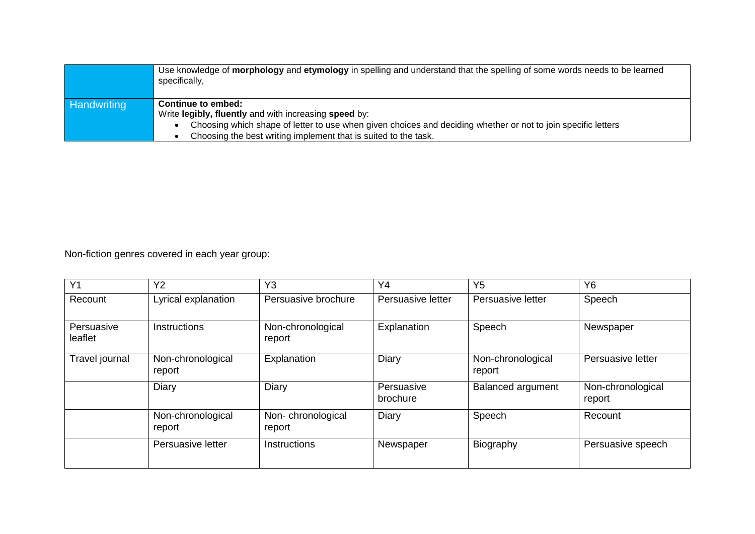|                    | Use knowledge of morphology and etymology in spelling and understand that the spelling of some words needs to be learned<br>specifically, |  |  |  |  |
|--------------------|-------------------------------------------------------------------------------------------------------------------------------------------|--|--|--|--|
| <b>Handwriting</b> | Continue to embed:                                                                                                                        |  |  |  |  |
|                    | Write legibly, fluently and with increasing speed by:                                                                                     |  |  |  |  |
|                    | Choosing which shape of letter to use when given choices and deciding whether or not to join specific letters                             |  |  |  |  |
|                    | Choosing the best writing implement that is suited to the task.                                                                           |  |  |  |  |

Non-fiction genres covered in each year group:

| Y <sub>1</sub>        | Y <sub>2</sub>              | Y <sub>3</sub>              | Y4                     | Y <sub>5</sub>              | Y <sub>6</sub>              |
|-----------------------|-----------------------------|-----------------------------|------------------------|-----------------------------|-----------------------------|
| Recount               | Lyrical explanation         | Persuasive brochure         | Persuasive letter      | Persuasive letter           | Speech                      |
| Persuasive<br>leaflet | Instructions                | Non-chronological<br>report | Explanation            | Speech                      | Newspaper                   |
| Travel journal        | Non-chronological<br>report | Explanation                 | Diary                  | Non-chronological<br>report | Persuasive letter           |
|                       | Diary                       | Diary                       | Persuasive<br>brochure | <b>Balanced argument</b>    | Non-chronological<br>report |
|                       | Non-chronological<br>report | Non-chronological<br>report | Diary                  | Speech                      | Recount                     |
|                       | Persuasive letter           | <b>Instructions</b>         | Newspaper              | Biography                   | Persuasive speech           |